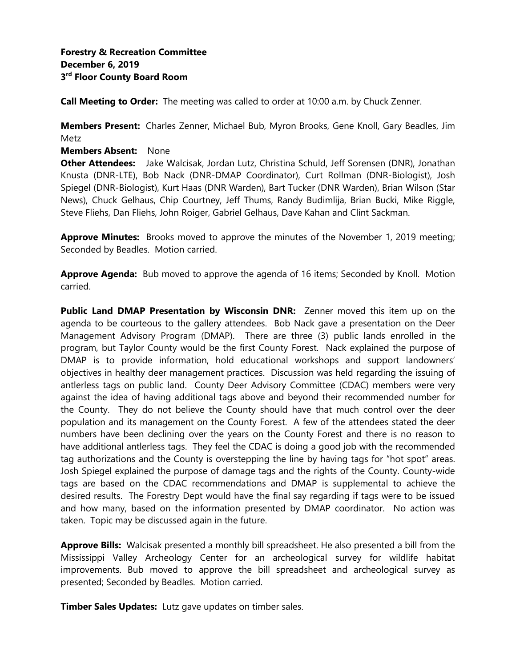**Call Meeting to Order:** The meeting was called to order at 10:00 a.m. by Chuck Zenner.

**Members Present:** Charles Zenner, Michael Bub, Myron Brooks, Gene Knoll, Gary Beadles, Jim Metz

**Members Absent:** None

**Other Attendees:** Jake Walcisak, Jordan Lutz, Christina Schuld, Jeff Sorensen (DNR), Jonathan Knusta (DNR-LTE), Bob Nack (DNR-DMAP Coordinator), Curt Rollman (DNR-Biologist), Josh Spiegel (DNR-Biologist), Kurt Haas (DNR Warden), Bart Tucker (DNR Warden), Brian Wilson (Star News), Chuck Gelhaus, Chip Courtney, Jeff Thums, Randy Budimlija, Brian Bucki, Mike Riggle, Steve Fliehs, Dan Fliehs, John Roiger, Gabriel Gelhaus, Dave Kahan and Clint Sackman.

**Approve Minutes:** Brooks moved to approve the minutes of the November 1, 2019 meeting; Seconded by Beadles. Motion carried.

**Approve Agenda:** Bub moved to approve the agenda of 16 items; Seconded by Knoll. Motion carried.

**Public Land DMAP Presentation by Wisconsin DNR:** Zenner moved this item up on the agenda to be courteous to the gallery attendees. Bob Nack gave a presentation on the Deer Management Advisory Program (DMAP). There are three (3) public lands enrolled in the program, but Taylor County would be the first County Forest. Nack explained the purpose of DMAP is to provide information, hold educational workshops and support landowners' objectives in healthy deer management practices. Discussion was held regarding the issuing of antlerless tags on public land. County Deer Advisory Committee (CDAC) members were very against the idea of having additional tags above and beyond their recommended number for the County. They do not believe the County should have that much control over the deer population and its management on the County Forest. A few of the attendees stated the deer numbers have been declining over the years on the County Forest and there is no reason to have additional antlerless tags. They feel the CDAC is doing a good job with the recommended tag authorizations and the County is overstepping the line by having tags for "hot spot" areas. Josh Spiegel explained the purpose of damage tags and the rights of the County. County-wide tags are based on the CDAC recommendations and DMAP is supplemental to achieve the desired results. The Forestry Dept would have the final say regarding if tags were to be issued and how many, based on the information presented by DMAP coordinator. No action was taken. Topic may be discussed again in the future.

**Approve Bills:** Walcisak presented a monthly bill spreadsheet. He also presented a bill from the Mississippi Valley Archeology Center for an archeological survey for wildlife habitat improvements. Bub moved to approve the bill spreadsheet and archeological survey as presented; Seconded by Beadles. Motion carried.

**Timber Sales Updates:** Lutz gave updates on timber sales.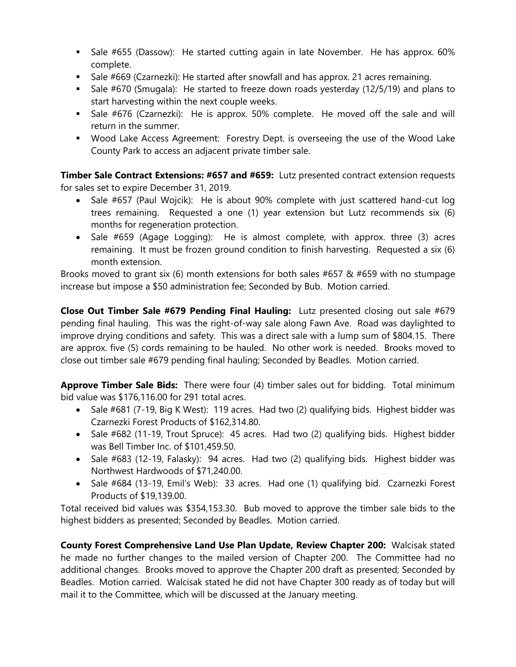- Sale #655 (Dassow): He started cutting again in late November. He has approx. 60% complete.
- Sale #669 (Czarnezki): He started after snowfall and has approx. 21 acres remaining.
- Sale #670 (Smugala): He started to freeze down roads yesterday (12/5/19) and plans to start harvesting within the next couple weeks.
- Sale #676 (Czarnezki): He is approx. 50% complete. He moved off the sale and will return in the summer.
- Wood Lake Access Agreement: Forestry Dept. is overseeing the use of the Wood Lake County Park to access an adjacent private timber sale.

**Timber Sale Contract Extensions: #657 and #659:** Lutz presented contract extension requests for sales set to expire December 31, 2019.

- Sale #657 (Paul Wojcik): He is about 90% complete with just scattered hand-cut log trees remaining. Requested a one (1) year extension but Lutz recommends six (6) months for regeneration protection.
- Sale #659 (Agage Logging): He is almost complete, with approx. three (3) acres remaining. It must be frozen ground condition to finish harvesting. Requested a six (6) month extension.

Brooks moved to grant six (6) month extensions for both sales  $#657 \& #659$  with no stumpage increase but impose a \$50 administration fee; Seconded by Bub. Motion carried.

**Close Out Timber Sale #679 Pending Final Hauling:** Lutz presented closing out sale #679 pending final hauling. This was the right-of-way sale along Fawn Ave. Road was daylighted to improve drying conditions and safety. This was a direct sale with a lump sum of \$804.15. There are approx. five (5) cords remaining to be hauled. No other work is needed. Brooks moved to close out timber sale #679 pending final hauling; Seconded by Beadles. Motion carried.

**Approve Timber Sale Bids:** There were four (4) timber sales out for bidding. Total minimum bid value was \$176,116.00 for 291 total acres.

- Sale #681 (7-19, Big K West): 119 acres. Had two (2) qualifying bids. Highest bidder was Czarnezki Forest Products of \$162,314.80.
- Sale #682 (11-19, Trout Spruce): 45 acres. Had two (2) qualifying bids. Highest bidder was Bell Timber Inc. of \$101,459.50.
- Sale #683 (12-19, Falasky): 94 acres. Had two (2) qualifying bids. Highest bidder was Northwest Hardwoods of \$71,240.00.
- Sale #684 (13-19, Emil's Web): 33 acres. Had one (1) qualifying bid. Czarnezki Forest Products of \$19,139.00.

Total received bid values was \$354,153.30. Bub moved to approve the timber sale bids to the highest bidders as presented; Seconded by Beadles. Motion carried.

**County Forest Comprehensive Land Use Plan Update, Review Chapter 200:** Walcisak stated he made no further changes to the mailed version of Chapter 200. The Committee had no additional changes. Brooks moved to approve the Chapter 200 draft as presented; Seconded by Beadles. Motion carried. Walcisak stated he did not have Chapter 300 ready as of today but will mail it to the Committee, which will be discussed at the January meeting.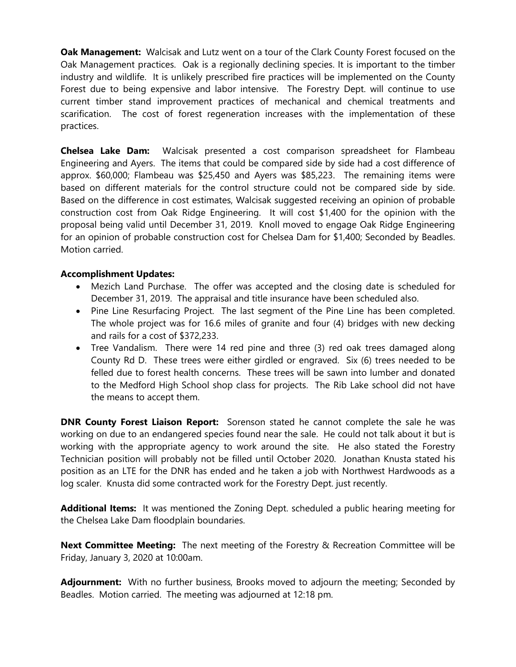**Oak Management:** Walcisak and Lutz went on a tour of the Clark County Forest focused on the Oak Management practices. Oak is a regionally declining species. It is important to the timber industry and wildlife. It is unlikely prescribed fire practices will be implemented on the County Forest due to being expensive and labor intensive. The Forestry Dept. will continue to use current timber stand improvement practices of mechanical and chemical treatments and scarification. The cost of forest regeneration increases with the implementation of these practices.

**Chelsea Lake Dam:** Walcisak presented a cost comparison spreadsheet for Flambeau Engineering and Ayers. The items that could be compared side by side had a cost difference of approx. \$60,000; Flambeau was \$25,450 and Ayers was \$85,223. The remaining items were based on different materials for the control structure could not be compared side by side. Based on the difference in cost estimates, Walcisak suggested receiving an opinion of probable construction cost from Oak Ridge Engineering. It will cost \$1,400 for the opinion with the proposal being valid until December 31, 2019. Knoll moved to engage Oak Ridge Engineering for an opinion of probable construction cost for Chelsea Dam for \$1,400; Seconded by Beadles. Motion carried.

# **Accomplishment Updates:**

- Mezich Land Purchase. The offer was accepted and the closing date is scheduled for December 31, 2019. The appraisal and title insurance have been scheduled also.
- Pine Line Resurfacing Project. The last segment of the Pine Line has been completed. The whole project was for 16.6 miles of granite and four (4) bridges with new decking and rails for a cost of \$372,233.
- Tree Vandalism. There were 14 red pine and three (3) red oak trees damaged along County Rd D. These trees were either girdled or engraved. Six (6) trees needed to be felled due to forest health concerns. These trees will be sawn into lumber and donated to the Medford High School shop class for projects. The Rib Lake school did not have the means to accept them.

**DNR County Forest Liaison Report:** Sorenson stated he cannot complete the sale he was working on due to an endangered species found near the sale. He could not talk about it but is working with the appropriate agency to work around the site. He also stated the Forestry Technician position will probably not be filled until October 2020. Jonathan Knusta stated his position as an LTE for the DNR has ended and he taken a job with Northwest Hardwoods as a log scaler. Knusta did some contracted work for the Forestry Dept. just recently.

**Additional Items:** It was mentioned the Zoning Dept. scheduled a public hearing meeting for the Chelsea Lake Dam floodplain boundaries.

**Next Committee Meeting:** The next meeting of the Forestry & Recreation Committee will be Friday, January 3, 2020 at 10:00am.

**Adjournment:** With no further business, Brooks moved to adjourn the meeting; Seconded by Beadles. Motion carried. The meeting was adjourned at 12:18 pm.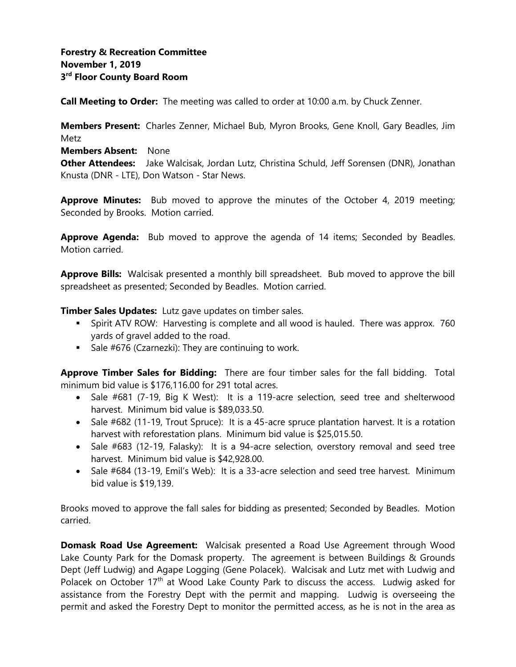**Call Meeting to Order:** The meeting was called to order at 10:00 a.m. by Chuck Zenner.

**Members Present:** Charles Zenner, Michael Bub, Myron Brooks, Gene Knoll, Gary Beadles, Jim Metz

**Members Absent:** None

**Other Attendees:** Jake Walcisak, Jordan Lutz, Christina Schuld, Jeff Sorensen (DNR), Jonathan Knusta (DNR - LTE), Don Watson - Star News.

**Approve Minutes:** Bub moved to approve the minutes of the October 4, 2019 meeting; Seconded by Brooks. Motion carried.

**Approve Agenda:** Bub moved to approve the agenda of 14 items; Seconded by Beadles. Motion carried.

**Approve Bills:** Walcisak presented a monthly bill spreadsheet. Bub moved to approve the bill spreadsheet as presented; Seconded by Beadles. Motion carried.

**Timber Sales Updates:** Lutz gave updates on timber sales.

- **EXT** Spirit ATV ROW: Harvesting is complete and all wood is hauled. There was approx. 760 yards of gravel added to the road.
- Sale #676 (Czarnezki): They are continuing to work.

**Approve Timber Sales for Bidding:** There are four timber sales for the fall bidding. Total minimum bid value is \$176,116.00 for 291 total acres.

- Sale #681 (7-19, Big K West): It is a 119-acre selection, seed tree and shelterwood harvest. Minimum bid value is \$89,033.50.
- Sale #682 (11-19, Trout Spruce): It is a 45-acre spruce plantation harvest. It is a rotation harvest with reforestation plans. Minimum bid value is \$25,015.50.
- Sale #683 (12-19, Falasky): It is a 94-acre selection, overstory removal and seed tree harvest. Minimum bid value is \$42,928.00.
- Sale #684 (13-19, Emil's Web): It is a 33-acre selection and seed tree harvest. Minimum bid value is \$19,139.

Brooks moved to approve the fall sales for bidding as presented; Seconded by Beadles. Motion carried.

**Domask Road Use Agreement:** Walcisak presented a Road Use Agreement through Wood Lake County Park for the Domask property. The agreement is between Buildings & Grounds Dept (Jeff Ludwig) and Agape Logging (Gene Polacek). Walcisak and Lutz met with Ludwig and Polacek on October 17<sup>th</sup> at Wood Lake County Park to discuss the access. Ludwig asked for assistance from the Forestry Dept with the permit and mapping. Ludwig is overseeing the permit and asked the Forestry Dept to monitor the permitted access, as he is not in the area as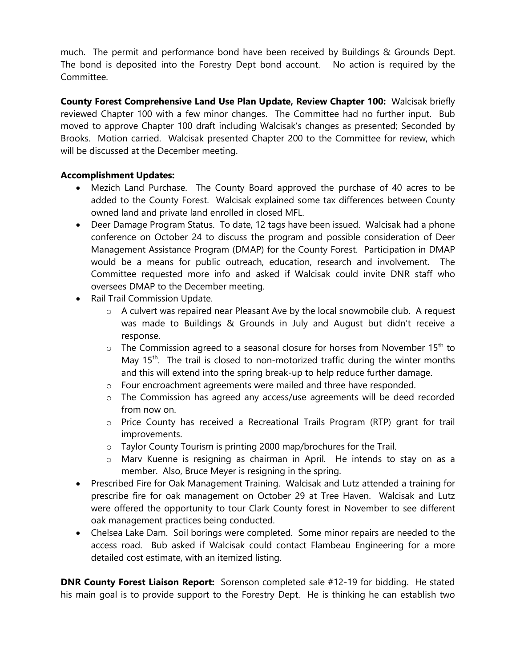much. The permit and performance bond have been received by Buildings & Grounds Dept. The bond is deposited into the Forestry Dept bond account. No action is required by the Committee.

**County Forest Comprehensive Land Use Plan Update, Review Chapter 100:** Walcisak briefly reviewed Chapter 100 with a few minor changes. The Committee had no further input. Bub moved to approve Chapter 100 draft including Walcisak's changes as presented; Seconded by Brooks. Motion carried. Walcisak presented Chapter 200 to the Committee for review, which will be discussed at the December meeting.

# **Accomplishment Updates:**

- Mezich Land Purchase. The County Board approved the purchase of 40 acres to be added to the County Forest. Walcisak explained some tax differences between County owned land and private land enrolled in closed MFL.
- Deer Damage Program Status. To date, 12 tags have been issued. Walcisak had a phone conference on October 24 to discuss the program and possible consideration of Deer Management Assistance Program (DMAP) for the County Forest. Participation in DMAP would be a means for public outreach, education, research and involvement. The Committee requested more info and asked if Walcisak could invite DNR staff who oversees DMAP to the December meeting.
- Rail Trail Commission Update.
	- $\circ$  A culvert was repaired near Pleasant Ave by the local snowmobile club. A request was made to Buildings & Grounds in July and August but didn't receive a response.
	- $\circ$  The Commission agreed to a seasonal closure for horses from November 15<sup>th</sup> to May 15<sup>th</sup>. The trail is closed to non-motorized traffic during the winter months and this will extend into the spring break-up to help reduce further damage.
	- o Four encroachment agreements were mailed and three have responded.
	- o The Commission has agreed any access/use agreements will be deed recorded from now on.
	- o Price County has received a Recreational Trails Program (RTP) grant for trail improvements.
	- o Taylor County Tourism is printing 2000 map/brochures for the Trail.
	- o Marv Kuenne is resigning as chairman in April. He intends to stay on as a member. Also, Bruce Meyer is resigning in the spring.
- Prescribed Fire for Oak Management Training. Walcisak and Lutz attended a training for prescribe fire for oak management on October 29 at Tree Haven. Walcisak and Lutz were offered the opportunity to tour Clark County forest in November to see different oak management practices being conducted.
- Chelsea Lake Dam. Soil borings were completed. Some minor repairs are needed to the access road. Bub asked if Walcisak could contact Flambeau Engineering for a more detailed cost estimate, with an itemized listing.

**DNR County Forest Liaison Report:** Sorenson completed sale #12-19 for bidding. He stated his main goal is to provide support to the Forestry Dept. He is thinking he can establish two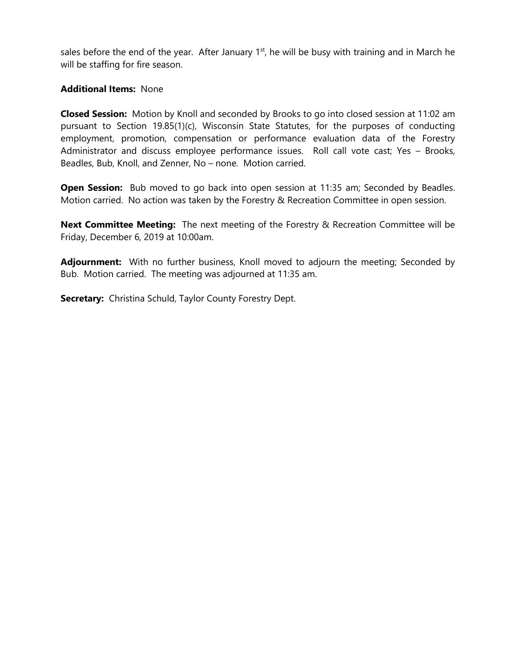sales before the end of the year. After January  $1<sup>st</sup>$ , he will be busy with training and in March he will be staffing for fire season.

#### **Additional Items:** None

**Closed Session:** Motion by Knoll and seconded by Brooks to go into closed session at 11:02 am pursuant to Section 19.85(1)(c), Wisconsin State Statutes, for the purposes of conducting employment, promotion, compensation or performance evaluation data of the Forestry Administrator and discuss employee performance issues. Roll call vote cast; Yes – Brooks, Beadles, Bub, Knoll, and Zenner, No – none. Motion carried.

**Open Session:** Bub moved to go back into open session at 11:35 am; Seconded by Beadles. Motion carried. No action was taken by the Forestry & Recreation Committee in open session.

**Next Committee Meeting:** The next meeting of the Forestry & Recreation Committee will be Friday, December 6, 2019 at 10:00am.

Adjournment: With no further business, Knoll moved to adjourn the meeting; Seconded by Bub. Motion carried. The meeting was adjourned at 11:35 am.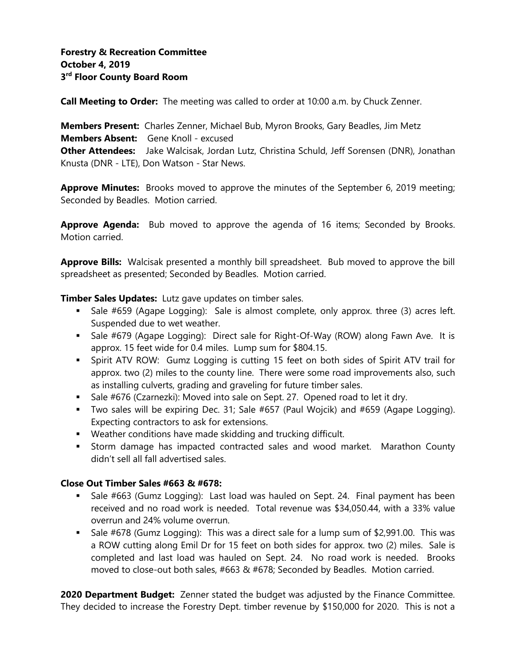**Call Meeting to Order:** The meeting was called to order at 10:00 a.m. by Chuck Zenner.

**Members Present:** Charles Zenner, Michael Bub, Myron Brooks, Gary Beadles, Jim Metz **Members Absent:** Gene Knoll - excused **Other Attendees:** Jake Walcisak, Jordan Lutz, Christina Schuld, Jeff Sorensen (DNR), Jonathan Knusta (DNR - LTE), Don Watson - Star News.

**Approve Minutes:** Brooks moved to approve the minutes of the September 6, 2019 meeting; Seconded by Beadles. Motion carried.

**Approve Agenda:** Bub moved to approve the agenda of 16 items; Seconded by Brooks. Motion carried.

**Approve Bills:** Walcisak presented a monthly bill spreadsheet. Bub moved to approve the bill spreadsheet as presented; Seconded by Beadles. Motion carried.

**Timber Sales Updates:** Lutz gave updates on timber sales.

- **EX** Sale #659 (Agape Logging): Sale is almost complete, only approx. three (3) acres left. Suspended due to wet weather.
- **■** Sale #679 (Agape Logging): Direct sale for Right-Of-Way (ROW) along Fawn Ave. It is approx. 15 feet wide for 0.4 miles. Lump sum for \$804.15.
- **EX Spirit ATV ROW:** Gumz Logging is cutting 15 feet on both sides of Spirit ATV trail for approx. two (2) miles to the county line. There were some road improvements also, such as installing culverts, grading and graveling for future timber sales.
- Sale #676 (Czarnezki): Moved into sale on Sept. 27. Opened road to let it dry.
- Two sales will be expiring Dec. 31; Sale #657 (Paul Wojcik) and #659 (Agape Logging). Expecting contractors to ask for extensions.
- Weather conditions have made skidding and trucking difficult.
- **EXT** Storm damage has impacted contracted sales and wood market. Marathon County didn't sell all fall advertised sales.

# **Close Out Timber Sales #663 & #678:**

- Sale #663 (Gumz Logging): Last load was hauled on Sept. 24. Final payment has been received and no road work is needed. Total revenue was \$34,050.44, with a 33% value overrun and 24% volume overrun.
- Sale #678 (Gumz Logging): This was a direct sale for a lump sum of \$2,991.00. This was a ROW cutting along Emil Dr for 15 feet on both sides for approx. two (2) miles. Sale is completed and last load was hauled on Sept. 24. No road work is needed. Brooks moved to close-out both sales, #663 & #678; Seconded by Beadles. Motion carried.

**2020 Department Budget:** Zenner stated the budget was adjusted by the Finance Committee. They decided to increase the Forestry Dept. timber revenue by \$150,000 for 2020. This is not a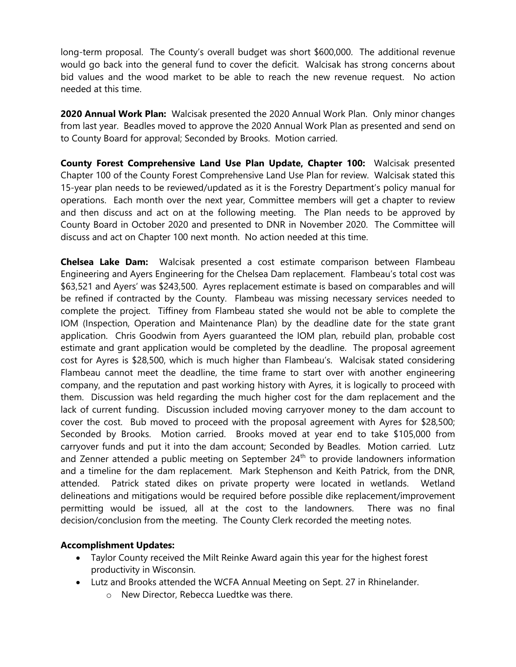long-term proposal. The County's overall budget was short \$600,000. The additional revenue would go back into the general fund to cover the deficit. Walcisak has strong concerns about bid values and the wood market to be able to reach the new revenue request. No action needed at this time.

**2020 Annual Work Plan:** Walcisak presented the 2020 Annual Work Plan. Only minor changes from last year. Beadles moved to approve the 2020 Annual Work Plan as presented and send on to County Board for approval; Seconded by Brooks. Motion carried.

**County Forest Comprehensive Land Use Plan Update, Chapter 100:** Walcisak presented Chapter 100 of the County Forest Comprehensive Land Use Plan for review. Walcisak stated this 15-year plan needs to be reviewed/updated as it is the Forestry Department's policy manual for operations. Each month over the next year, Committee members will get a chapter to review and then discuss and act on at the following meeting. The Plan needs to be approved by County Board in October 2020 and presented to DNR in November 2020. The Committee will discuss and act on Chapter 100 next month. No action needed at this time.

**Chelsea Lake Dam:** Walcisak presented a cost estimate comparison between Flambeau Engineering and Ayers Engineering for the Chelsea Dam replacement. Flambeau's total cost was \$63,521 and Ayers' was \$243,500. Ayres replacement estimate is based on comparables and will be refined if contracted by the County. Flambeau was missing necessary services needed to complete the project. Tiffiney from Flambeau stated she would not be able to complete the IOM (Inspection, Operation and Maintenance Plan) by the deadline date for the state grant application. Chris Goodwin from Ayers guaranteed the IOM plan, rebuild plan, probable cost estimate and grant application would be completed by the deadline. The proposal agreement cost for Ayres is \$28,500, which is much higher than Flambeau's. Walcisak stated considering Flambeau cannot meet the deadline, the time frame to start over with another engineering company, and the reputation and past working history with Ayres, it is logically to proceed with them. Discussion was held regarding the much higher cost for the dam replacement and the lack of current funding. Discussion included moving carryover money to the dam account to cover the cost. Bub moved to proceed with the proposal agreement with Ayres for \$28,500; Seconded by Brooks. Motion carried. Brooks moved at year end to take \$105,000 from carryover funds and put it into the dam account; Seconded by Beadles. Motion carried. Lutz and Zenner attended a public meeting on September  $24<sup>th</sup>$  to provide landowners information and a timeline for the dam replacement. Mark Stephenson and Keith Patrick, from the DNR, attended. Patrick stated dikes on private property were located in wetlands. Wetland delineations and mitigations would be required before possible dike replacement/improvement permitting would be issued, all at the cost to the landowners. There was no final decision/conclusion from the meeting. The County Clerk recorded the meeting notes.

# **Accomplishment Updates:**

- Taylor County received the Milt Reinke Award again this year for the highest forest productivity in Wisconsin.
- Lutz and Brooks attended the WCFA Annual Meeting on Sept. 27 in Rhinelander.
	- o New Director, Rebecca Luedtke was there.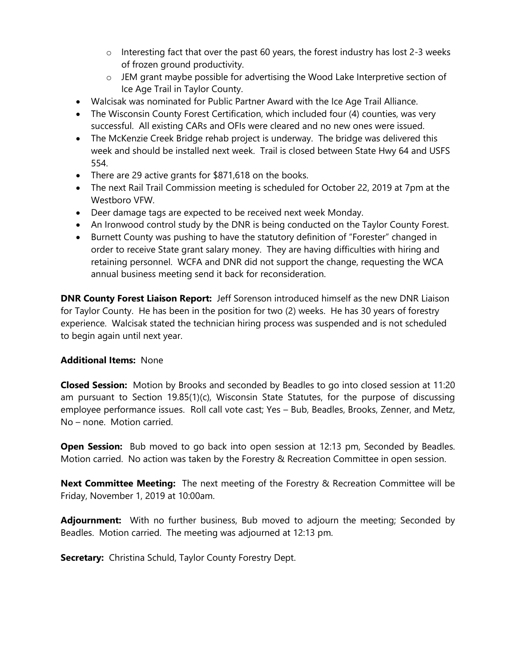- $\circ$  Interesting fact that over the past 60 years, the forest industry has lost 2-3 weeks of frozen ground productivity.
- o JEM grant maybe possible for advertising the Wood Lake Interpretive section of Ice Age Trail in Taylor County.
- Walcisak was nominated for Public Partner Award with the Ice Age Trail Alliance.
- The Wisconsin County Forest Certification, which included four (4) counties, was very successful. All existing CARs and OFIs were cleared and no new ones were issued.
- The McKenzie Creek Bridge rehab project is underway. The bridge was delivered this week and should be installed next week. Trail is closed between State Hwy 64 and USFS 554.
- There are 29 active grants for \$871,618 on the books.
- The next Rail Trail Commission meeting is scheduled for October 22, 2019 at 7pm at the Westboro VFW.
- Deer damage tags are expected to be received next week Monday.
- An Ironwood control study by the DNR is being conducted on the Taylor County Forest.
- Burnett County was pushing to have the statutory definition of "Forester" changed in order to receive State grant salary money. They are having difficulties with hiring and retaining personnel. WCFA and DNR did not support the change, requesting the WCA annual business meeting send it back for reconsideration.

**DNR County Forest Liaison Report:** Jeff Sorenson introduced himself as the new DNR Liaison for Taylor County. He has been in the position for two (2) weeks. He has 30 years of forestry experience. Walcisak stated the technician hiring process was suspended and is not scheduled to begin again until next year.

# **Additional Items:** None

**Closed Session:** Motion by Brooks and seconded by Beadles to go into closed session at 11:20 am pursuant to Section 19.85(1)(c), Wisconsin State Statutes, for the purpose of discussing employee performance issues. Roll call vote cast; Yes – Bub, Beadles, Brooks, Zenner, and Metz, No – none. Motion carried.

**Open Session:** Bub moved to go back into open session at 12:13 pm, Seconded by Beadles. Motion carried. No action was taken by the Forestry & Recreation Committee in open session.

**Next Committee Meeting:** The next meeting of the Forestry & Recreation Committee will be Friday, November 1, 2019 at 10:00am.

Adjournment: With no further business, Bub moved to adjourn the meeting; Seconded by Beadles. Motion carried. The meeting was adjourned at 12:13 pm.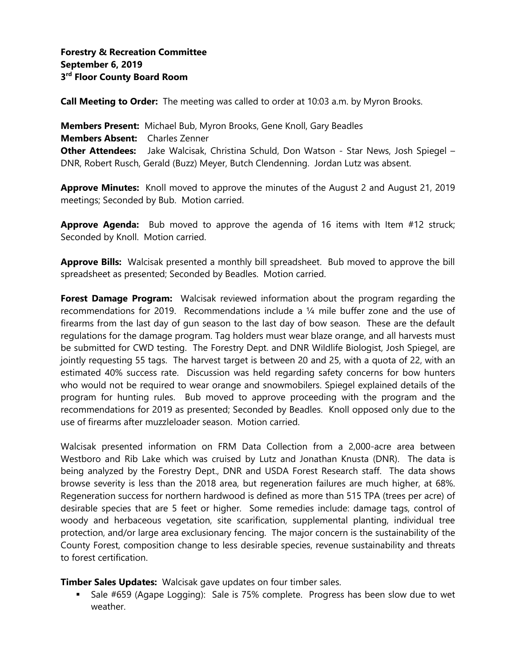**Call Meeting to Order:** The meeting was called to order at 10:03 a.m. by Myron Brooks.

**Members Present:** Michael Bub, Myron Brooks, Gene Knoll, Gary Beadles **Members Absent:** Charles Zenner **Other Attendees:** Jake Walcisak, Christina Schuld, Don Watson - Star News, Josh Spiegel – DNR, Robert Rusch, Gerald (Buzz) Meyer, Butch Clendenning. Jordan Lutz was absent.

Approve Minutes: Knoll moved to approve the minutes of the August 2 and August 21, 2019 meetings; Seconded by Bub. Motion carried.

**Approve Agenda:** Bub moved to approve the agenda of 16 items with Item #12 struck; Seconded by Knoll. Motion carried.

**Approve Bills:** Walcisak presented a monthly bill spreadsheet. Bub moved to approve the bill spreadsheet as presented; Seconded by Beadles. Motion carried.

**Forest Damage Program:** Walcisak reviewed information about the program regarding the recommendations for 2019. Recommendations include a ¼ mile buffer zone and the use of firearms from the last day of gun season to the last day of bow season. These are the default regulations for the damage program. Tag holders must wear blaze orange, and all harvests must be submitted for CWD testing. The Forestry Dept. and DNR Wildlife Biologist, Josh Spiegel, are jointly requesting 55 tags. The harvest target is between 20 and 25, with a quota of 22, with an estimated 40% success rate. Discussion was held regarding safety concerns for bow hunters who would not be required to wear orange and snowmobilers. Spiegel explained details of the program for hunting rules. Bub moved to approve proceeding with the program and the recommendations for 2019 as presented; Seconded by Beadles. Knoll opposed only due to the use of firearms after muzzleloader season. Motion carried.

Walcisak presented information on FRM Data Collection from a 2,000-acre area between Westboro and Rib Lake which was cruised by Lutz and Jonathan Knusta (DNR). The data is being analyzed by the Forestry Dept., DNR and USDA Forest Research staff. The data shows browse severity is less than the 2018 area, but regeneration failures are much higher, at 68%. Regeneration success for northern hardwood is defined as more than 515 TPA (trees per acre) of desirable species that are 5 feet or higher. Some remedies include: damage tags, control of woody and herbaceous vegetation, site scarification, supplemental planting, individual tree protection, and/or large area exclusionary fencing. The major concern is the sustainability of the County Forest, composition change to less desirable species, revenue sustainability and threats to forest certification.

**Timber Sales Updates:** Walcisak gave updates on four timber sales.

Sale #659 (Agape Logging): Sale is 75% complete. Progress has been slow due to wet weather.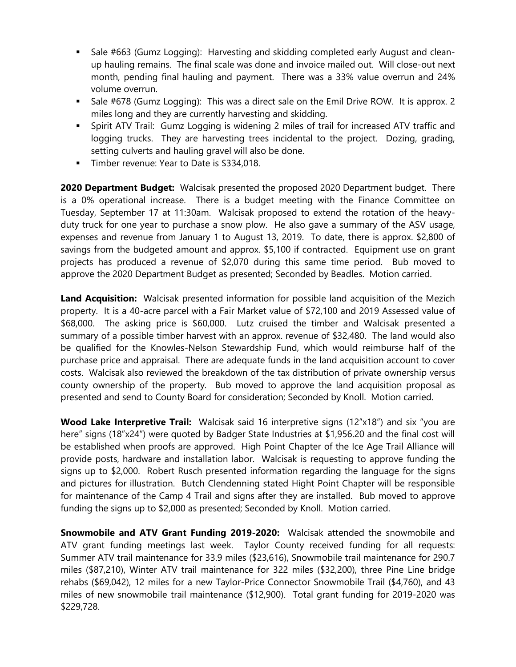- Sale #663 (Gumz Logging): Harvesting and skidding completed early August and cleanup hauling remains. The final scale was done and invoice mailed out. Will close-out next month, pending final hauling and payment. There was a 33% value overrun and 24% volume overrun.
- Sale #678 (Gumz Logging): This was a direct sale on the Emil Drive ROW. It is approx. 2 miles long and they are currently harvesting and skidding.
- Spirit ATV Trail: Gumz Logging is widening 2 miles of trail for increased ATV traffic and logging trucks. They are harvesting trees incidental to the project. Dozing, grading, setting culverts and hauling gravel will also be done.
- **Timber revenue: Year to Date is \$334,018.**

**2020 Department Budget:** Walcisak presented the proposed 2020 Department budget. There is a 0% operational increase. There is a budget meeting with the Finance Committee on Tuesday, September 17 at 11:30am. Walcisak proposed to extend the rotation of the heavyduty truck for one year to purchase a snow plow. He also gave a summary of the ASV usage, expenses and revenue from January 1 to August 13, 2019. To date, there is approx. \$2,800 of savings from the budgeted amount and approx. \$5,100 if contracted. Equipment use on grant projects has produced a revenue of \$2,070 during this same time period. Bub moved to approve the 2020 Department Budget as presented; Seconded by Beadles. Motion carried.

**Land Acquisition:** Walcisak presented information for possible land acquisition of the Mezich property. It is a 40-acre parcel with a Fair Market value of \$72,100 and 2019 Assessed value of \$68,000. The asking price is \$60,000. Lutz cruised the timber and Walcisak presented a summary of a possible timber harvest with an approx. revenue of \$32,480. The land would also be qualified for the Knowles-Nelson Stewardship Fund, which would reimburse half of the purchase price and appraisal. There are adequate funds in the land acquisition account to cover costs. Walcisak also reviewed the breakdown of the tax distribution of private ownership versus county ownership of the property. Bub moved to approve the land acquisition proposal as presented and send to County Board for consideration; Seconded by Knoll. Motion carried.

**Wood Lake Interpretive Trail:** Walcisak said 16 interpretive signs (12"x18") and six "you are here" signs (18"x24") were quoted by Badger State Industries at \$1,956.20 and the final cost will be established when proofs are approved. High Point Chapter of the Ice Age Trail Alliance will provide posts, hardware and installation labor. Walcisak is requesting to approve funding the signs up to \$2,000. Robert Rusch presented information regarding the language for the signs and pictures for illustration. Butch Clendenning stated Hight Point Chapter will be responsible for maintenance of the Camp 4 Trail and signs after they are installed. Bub moved to approve funding the signs up to \$2,000 as presented; Seconded by Knoll. Motion carried.

**Snowmobile and ATV Grant Funding 2019-2020:** Walcisak attended the snowmobile and ATV grant funding meetings last week. Taylor County received funding for all requests: Summer ATV trail maintenance for 33.9 miles (\$23,616), Snowmobile trail maintenance for 290.7 miles (\$87,210), Winter ATV trail maintenance for 322 miles (\$32,200), three Pine Line bridge rehabs (\$69,042), 12 miles for a new Taylor-Price Connector Snowmobile Trail (\$4,760), and 43 miles of new snowmobile trail maintenance (\$12,900). Total grant funding for 2019-2020 was \$229,728.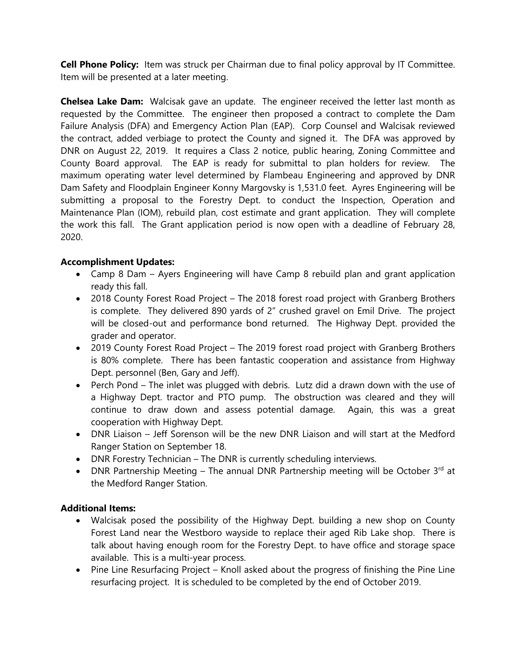**Cell Phone Policy:** Item was struck per Chairman due to final policy approval by IT Committee. Item will be presented at a later meeting.

**Chelsea Lake Dam:** Walcisak gave an update. The engineer received the letter last month as requested by the Committee. The engineer then proposed a contract to complete the Dam Failure Analysis (DFA) and Emergency Action Plan (EAP). Corp Counsel and Walcisak reviewed the contract, added verbiage to protect the County and signed it. The DFA was approved by DNR on August 22, 2019. It requires a Class 2 notice, public hearing, Zoning Committee and County Board approval. The EAP is ready for submittal to plan holders for review. The maximum operating water level determined by Flambeau Engineering and approved by DNR Dam Safety and Floodplain Engineer Konny Margovsky is 1,531.0 feet. Ayres Engineering will be submitting a proposal to the Forestry Dept. to conduct the Inspection, Operation and Maintenance Plan (IOM), rebuild plan, cost estimate and grant application. They will complete the work this fall. The Grant application period is now open with a deadline of February 28, 2020.

# **Accomplishment Updates:**

- Camp 8 Dam Ayers Engineering will have Camp 8 rebuild plan and grant application ready this fall.
- 2018 County Forest Road Project The 2018 forest road project with Granberg Brothers is complete. They delivered 890 yards of 2" crushed gravel on Emil Drive. The project will be closed-out and performance bond returned. The Highway Dept. provided the grader and operator.
- 2019 County Forest Road Project The 2019 forest road project with Granberg Brothers is 80% complete. There has been fantastic cooperation and assistance from Highway Dept. personnel (Ben, Gary and Jeff).
- Perch Pond The inlet was plugged with debris. Lutz did a drawn down with the use of a Highway Dept. tractor and PTO pump. The obstruction was cleared and they will continue to draw down and assess potential damage. Again, this was a great cooperation with Highway Dept.
- DNR Liaison Jeff Sorenson will be the new DNR Liaison and will start at the Medford Ranger Station on September 18.
- DNR Forestry Technician The DNR is currently scheduling interviews.
- DNR Partnership Meeting The annual DNR Partnership meeting will be October  $3^{rd}$  at the Medford Ranger Station.

# **Additional Items:**

- Walcisak posed the possibility of the Highway Dept. building a new shop on County Forest Land near the Westboro wayside to replace their aged Rib Lake shop. There is talk about having enough room for the Forestry Dept. to have office and storage space available. This is a multi-year process.
- Pine Line Resurfacing Project Knoll asked about the progress of finishing the Pine Line resurfacing project. It is scheduled to be completed by the end of October 2019.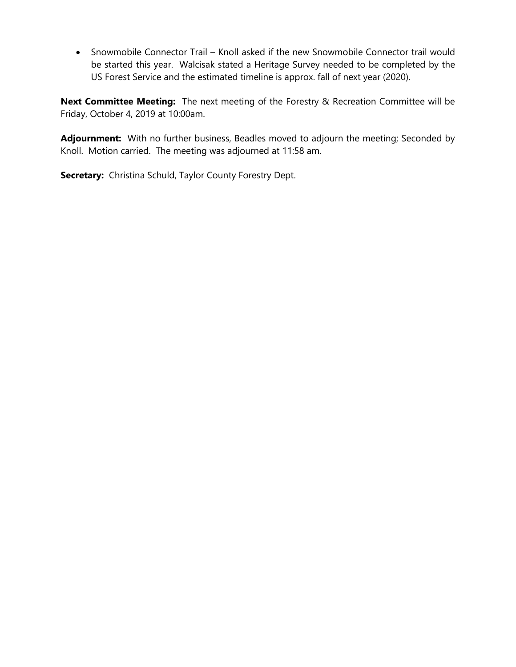• Snowmobile Connector Trail – Knoll asked if the new Snowmobile Connector trail would be started this year. Walcisak stated a Heritage Survey needed to be completed by the US Forest Service and the estimated timeline is approx. fall of next year (2020).

**Next Committee Meeting:** The next meeting of the Forestry & Recreation Committee will be Friday, October 4, 2019 at 10:00am.

**Adjournment:** With no further business, Beadles moved to adjourn the meeting; Seconded by Knoll. Motion carried. The meeting was adjourned at 11:58 am.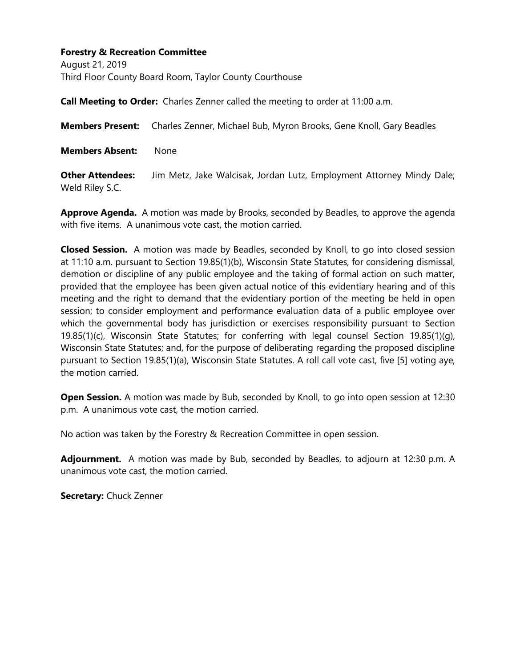### **Forestry & Recreation Committee**

August 21, 2019 Third Floor County Board Room, Taylor County Courthouse

**Call Meeting to Order:** Charles Zenner called the meeting to order at 11:00 a.m.

**Members Present:** Charles Zenner, Michael Bub, Myron Brooks, Gene Knoll, Gary Beadles

**Members Absent:** None

**Other Attendees:** Jim Metz, Jake Walcisak, Jordan Lutz, Employment Attorney Mindy Dale; Weld Riley S.C.

**Approve Agenda.** A motion was made by Brooks, seconded by Beadles, to approve the agenda with five items. A unanimous vote cast, the motion carried.

**Closed Session.** A motion was made by Beadles, seconded by Knoll, to go into closed session at 11:10 a.m. pursuant to Section 19.85(1)(b), Wisconsin State Statutes, for considering dismissal, demotion or discipline of any public employee and the taking of formal action on such matter, provided that the employee has been given actual notice of this evidentiary hearing and of this meeting and the right to demand that the evidentiary portion of the meeting be held in open session; to consider employment and performance evaluation data of a public employee over which the governmental body has jurisdiction or exercises responsibility pursuant to Section 19.85(1)(c), Wisconsin State Statutes; for conferring with legal counsel Section 19.85(1)(q), Wisconsin State Statutes; and, for the purpose of deliberating regarding the proposed discipline pursuant to Section 19.85(1)(a), Wisconsin State Statutes. A roll call vote cast, five [5] voting aye, the motion carried.

**Open Session.** A motion was made by Bub, seconded by Knoll, to go into open session at 12:30 p.m. A unanimous vote cast, the motion carried.

No action was taken by the Forestry & Recreation Committee in open session.

**Adjournment.** A motion was made by Bub, seconded by Beadles, to adjourn at 12:30 p.m. A unanimous vote cast, the motion carried.

**Secretary:** Chuck Zenner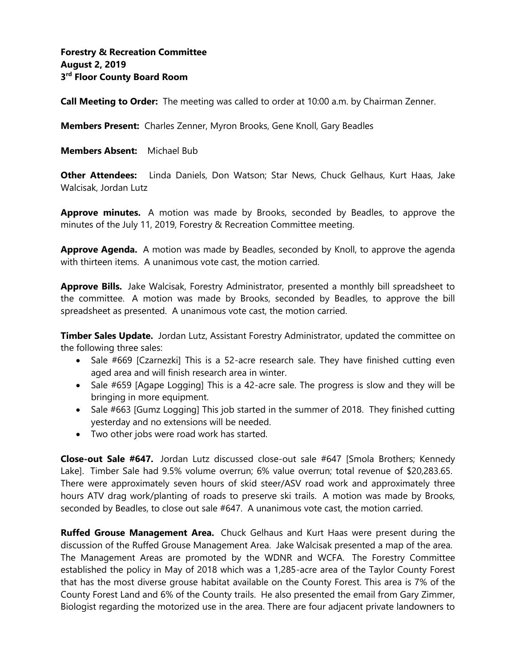**Call Meeting to Order:** The meeting was called to order at 10:00 a.m. by Chairman Zenner.

**Members Present:** Charles Zenner, Myron Brooks, Gene Knoll, Gary Beadles

**Members Absent:** Michael Bub

**Other Attendees:** Linda Daniels, Don Watson; Star News, Chuck Gelhaus, Kurt Haas, Jake Walcisak, Jordan Lutz

**Approve minutes.** A motion was made by Brooks, seconded by Beadles, to approve the minutes of the July 11, 2019, Forestry & Recreation Committee meeting.

Approve Agenda. A motion was made by Beadles, seconded by Knoll, to approve the agenda with thirteen items. A unanimous vote cast, the motion carried.

**Approve Bills.** Jake Walcisak, Forestry Administrator, presented a monthly bill spreadsheet to the committee. A motion was made by Brooks, seconded by Beadles, to approve the bill spreadsheet as presented. A unanimous vote cast, the motion carried.

**Timber Sales Update.** Jordan Lutz, Assistant Forestry Administrator, updated the committee on the following three sales:

- Sale #669 [Czarnezki] This is a 52-acre research sale. They have finished cutting even aged area and will finish research area in winter.
- Sale #659 [Agape Logging] This is a 42-acre sale. The progress is slow and they will be bringing in more equipment.
- Sale #663 [Gumz Logging] This job started in the summer of 2018. They finished cutting yesterday and no extensions will be needed.
- Two other jobs were road work has started.

**Close-out Sale #647.** Jordan Lutz discussed close-out sale #647 [Smola Brothers; Kennedy Lake]. Timber Sale had 9.5% volume overrun; 6% value overrun; total revenue of \$20,283.65. There were approximately seven hours of skid steer/ASV road work and approximately three hours ATV drag work/planting of roads to preserve ski trails. A motion was made by Brooks, seconded by Beadles, to close out sale #647. A unanimous vote cast, the motion carried.

**Ruffed Grouse Management Area.** Chuck Gelhaus and Kurt Haas were present during the discussion of the Ruffed Grouse Management Area. Jake Walcisak presented a map of the area. The Management Areas are promoted by the WDNR and WCFA. The Forestry Committee established the policy in May of 2018 which was a 1,285-acre area of the Taylor County Forest that has the most diverse grouse habitat available on the County Forest. This area is 7% of the County Forest Land and 6% of the County trails. He also presented the email from Gary Zimmer, Biologist regarding the motorized use in the area. There are four adjacent private landowners to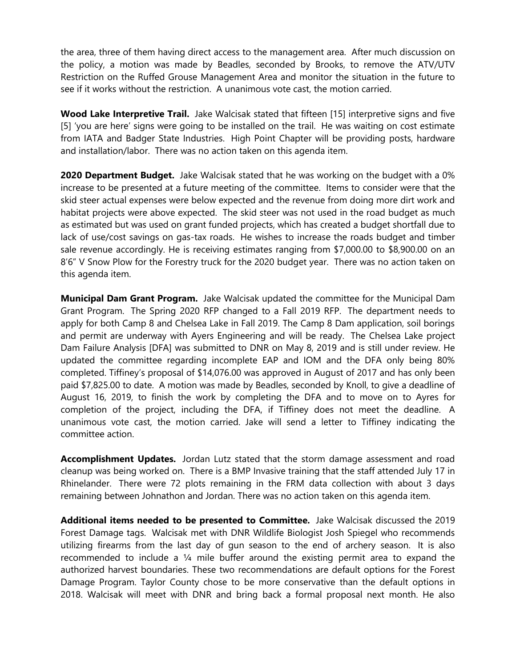the area, three of them having direct access to the management area. After much discussion on the policy, a motion was made by Beadles, seconded by Brooks, to remove the ATV/UTV Restriction on the Ruffed Grouse Management Area and monitor the situation in the future to see if it works without the restriction. A unanimous vote cast, the motion carried.

**Wood Lake Interpretive Trail.** Jake Walcisak stated that fifteen [15] interpretive signs and five [5] 'you are here' signs were going to be installed on the trail. He was waiting on cost estimate from IATA and Badger State Industries. High Point Chapter will be providing posts, hardware and installation/labor. There was no action taken on this agenda item.

**2020 Department Budget.** Jake Walcisak stated that he was working on the budget with a 0% increase to be presented at a future meeting of the committee. Items to consider were that the skid steer actual expenses were below expected and the revenue from doing more dirt work and habitat projects were above expected. The skid steer was not used in the road budget as much as estimated but was used on grant funded projects, which has created a budget shortfall due to lack of use/cost savings on gas-tax roads. He wishes to increase the roads budget and timber sale revenue accordingly. He is receiving estimates ranging from \$7,000.00 to \$8,900.00 on an 8'6" V Snow Plow for the Forestry truck for the 2020 budget year. There was no action taken on this agenda item.

**Municipal Dam Grant Program.** Jake Walcisak updated the committee for the Municipal Dam Grant Program. The Spring 2020 RFP changed to a Fall 2019 RFP. The department needs to apply for both Camp 8 and Chelsea Lake in Fall 2019. The Camp 8 Dam application, soil borings and permit are underway with Ayers Engineering and will be ready. The Chelsea Lake project Dam Failure Analysis [DFA] was submitted to DNR on May 8, 2019 and is still under review. He updated the committee regarding incomplete EAP and IOM and the DFA only being 80% completed. Tiffiney's proposal of \$14,076.00 was approved in August of 2017 and has only been paid \$7,825.00 to date. A motion was made by Beadles, seconded by Knoll, to give a deadline of August 16, 2019, to finish the work by completing the DFA and to move on to Ayres for completion of the project, including the DFA, if Tiffiney does not meet the deadline. A unanimous vote cast, the motion carried. Jake will send a letter to Tiffiney indicating the committee action.

**Accomplishment Updates.** Jordan Lutz stated that the storm damage assessment and road cleanup was being worked on. There is a BMP Invasive training that the staff attended July 17 in Rhinelander. There were 72 plots remaining in the FRM data collection with about 3 days remaining between Johnathon and Jordan. There was no action taken on this agenda item.

**Additional items needed to be presented to Committee.** Jake Walcisak discussed the 2019 Forest Damage tags. Walcisak met with DNR Wildlife Biologist Josh Spiegel who recommends utilizing firearms from the last day of gun season to the end of archery season. It is also recommended to include a ¼ mile buffer around the existing permit area to expand the authorized harvest boundaries. These two recommendations are default options for the Forest Damage Program. Taylor County chose to be more conservative than the default options in 2018. Walcisak will meet with DNR and bring back a formal proposal next month. He also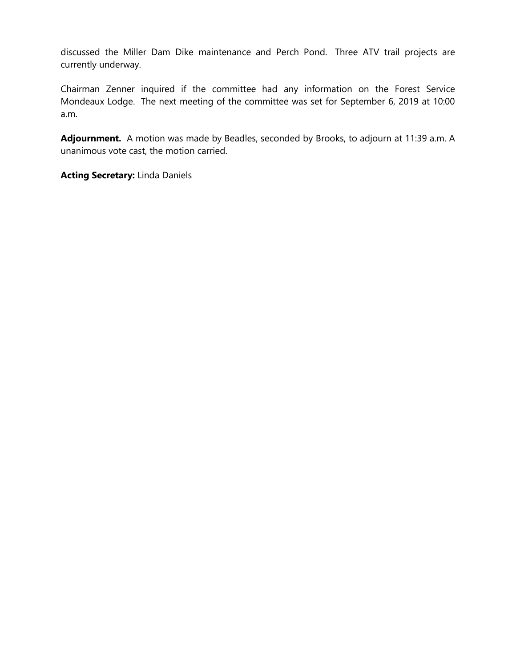discussed the Miller Dam Dike maintenance and Perch Pond. Three ATV trail projects are currently underway.

Chairman Zenner inquired if the committee had any information on the Forest Service Mondeaux Lodge. The next meeting of the committee was set for September 6, 2019 at 10:00 a.m.

**Adjournment.** A motion was made by Beadles, seconded by Brooks, to adjourn at 11:39 a.m. A unanimous vote cast, the motion carried.

**Acting Secretary:** Linda Daniels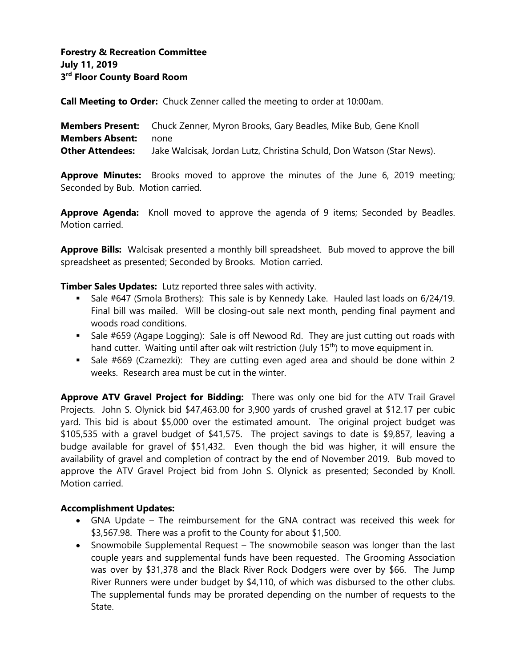# **Forestry & Recreation Committee July 11, 2019 3 rd Floor County Board Room**

**Call Meeting to Order:** Chuck Zenner called the meeting to order at 10:00am.

**Members Present:** Chuck Zenner, Myron Brooks, Gary Beadles, Mike Bub, Gene Knoll **Members Absent:** none **Other Attendees:** Jake Walcisak, Jordan Lutz, Christina Schuld, Don Watson (Star News).

**Approve Minutes:** Brooks moved to approve the minutes of the June 6, 2019 meeting; Seconded by Bub. Motion carried.

**Approve Agenda:** Knoll moved to approve the agenda of 9 items; Seconded by Beadles. Motion carried.

**Approve Bills:** Walcisak presented a monthly bill spreadsheet. Bub moved to approve the bill spreadsheet as presented; Seconded by Brooks. Motion carried.

**Timber Sales Updates:** Lutz reported three sales with activity.

- Sale #647 (Smola Brothers): This sale is by Kennedy Lake. Hauled last loads on 6/24/19. Final bill was mailed. Will be closing-out sale next month, pending final payment and woods road conditions.
- Sale #659 (Agape Logging): Sale is off Newood Rd. They are just cutting out roads with hand cutter. Waiting until after oak wilt restriction (July 15<sup>th</sup>) to move equipment in.
- Sale #669 (Czarnezki): They are cutting even aged area and should be done within 2 weeks. Research area must be cut in the winter.

**Approve ATV Gravel Project for Bidding:** There was only one bid for the ATV Trail Gravel Projects. John S. Olynick bid \$47,463.00 for 3,900 yards of crushed gravel at \$12.17 per cubic yard. This bid is about \$5,000 over the estimated amount. The original project budget was \$105,535 with a gravel budget of \$41,575. The project savings to date is \$9,857, leaving a budge available for gravel of \$51,432. Even though the bid was higher, it will ensure the availability of gravel and completion of contract by the end of November 2019. Bub moved to approve the ATV Gravel Project bid from John S. Olynick as presented; Seconded by Knoll. Motion carried.

#### **Accomplishment Updates:**

- GNA Update The reimbursement for the GNA contract was received this week for \$3,567.98. There was a profit to the County for about \$1,500.
- Snowmobile Supplemental Request The snowmobile season was longer than the last couple years and supplemental funds have been requested. The Grooming Association was over by \$31,378 and the Black River Rock Dodgers were over by \$66. The Jump River Runners were under budget by \$4,110, of which was disbursed to the other clubs. The supplemental funds may be prorated depending on the number of requests to the State.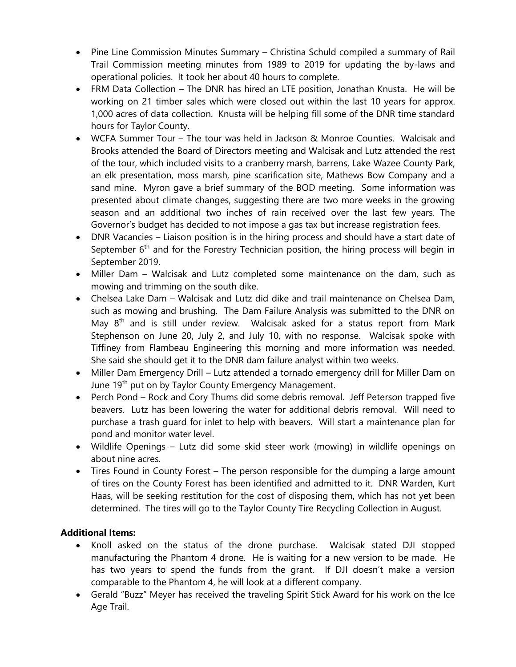- Pine Line Commission Minutes Summary Christina Schuld compiled a summary of Rail Trail Commission meeting minutes from 1989 to 2019 for updating the by-laws and operational policies. It took her about 40 hours to complete.
- FRM Data Collection The DNR has hired an LTE position, Jonathan Knusta. He will be working on 21 timber sales which were closed out within the last 10 years for approx. 1,000 acres of data collection. Knusta will be helping fill some of the DNR time standard hours for Taylor County.
- WCFA Summer Tour The tour was held in Jackson & Monroe Counties. Walcisak and Brooks attended the Board of Directors meeting and Walcisak and Lutz attended the rest of the tour, which included visits to a cranberry marsh, barrens, Lake Wazee County Park, an elk presentation, moss marsh, pine scarification site, Mathews Bow Company and a sand mine. Myron gave a brief summary of the BOD meeting. Some information was presented about climate changes, suggesting there are two more weeks in the growing season and an additional two inches of rain received over the last few years. The Governor's budget has decided to not impose a gas tax but increase registration fees.
- DNR Vacancies Liaison position is in the hiring process and should have a start date of September 6<sup>th</sup> and for the Forestry Technician position, the hiring process will begin in September 2019.
- Miller Dam Walcisak and Lutz completed some maintenance on the dam, such as mowing and trimming on the south dike.
- Chelsea Lake Dam Walcisak and Lutz did dike and trail maintenance on Chelsea Dam, such as mowing and brushing. The Dam Failure Analysis was submitted to the DNR on May  $8<sup>th</sup>$  and is still under review. Walcisak asked for a status report from Mark Stephenson on June 20, July 2, and July 10, with no response. Walcisak spoke with Tiffiney from Flambeau Engineering this morning and more information was needed. She said she should get it to the DNR dam failure analyst within two weeks.
- Miller Dam Emergency Drill Lutz attended a tornado emergency drill for Miller Dam on June 19<sup>th</sup> put on by Taylor County Emergency Management.
- Perch Pond Rock and Cory Thums did some debris removal. Jeff Peterson trapped five beavers. Lutz has been lowering the water for additional debris removal. Will need to purchase a trash guard for inlet to help with beavers. Will start a maintenance plan for pond and monitor water level.
- Wildlife Openings Lutz did some skid steer work (mowing) in wildlife openings on about nine acres.
- Tires Found in County Forest The person responsible for the dumping a large amount of tires on the County Forest has been identified and admitted to it. DNR Warden, Kurt Haas, will be seeking restitution for the cost of disposing them, which has not yet been determined. The tires will go to the Taylor County Tire Recycling Collection in August.

# **Additional Items:**

- Knoll asked on the status of the drone purchase. Walcisak stated DJI stopped manufacturing the Phantom 4 drone. He is waiting for a new version to be made. He has two years to spend the funds from the grant. If DJI doesn't make a version comparable to the Phantom 4, he will look at a different company.
- Gerald "Buzz" Meyer has received the traveling Spirit Stick Award for his work on the Ice Age Trail.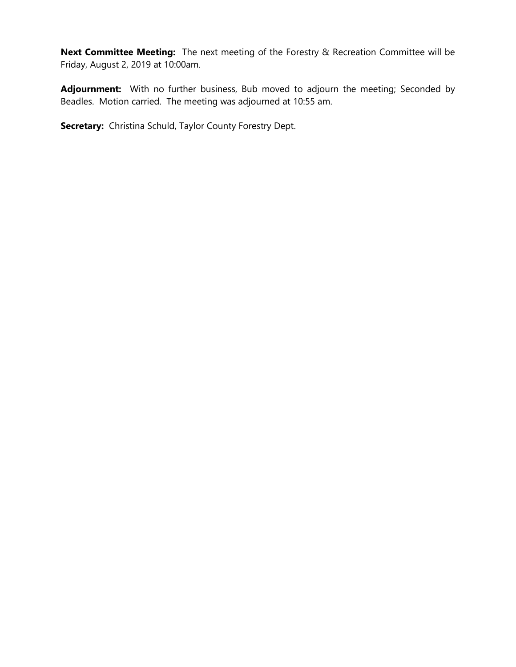**Next Committee Meeting:** The next meeting of the Forestry & Recreation Committee will be Friday, August 2, 2019 at 10:00am.

Adjournment: With no further business, Bub moved to adjourn the meeting; Seconded by Beadles. Motion carried. The meeting was adjourned at 10:55 am.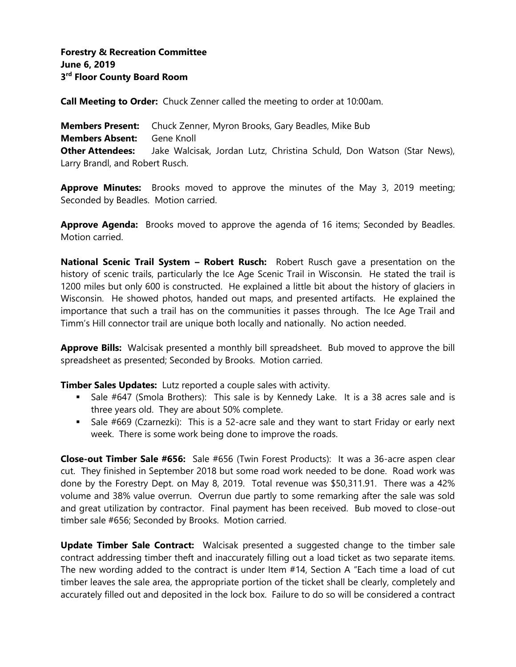**Call Meeting to Order:** Chuck Zenner called the meeting to order at 10:00am.

**Members Present:** Chuck Zenner, Myron Brooks, Gary Beadles, Mike Bub **Members Absent:** Gene Knoll **Other Attendees:** Jake Walcisak, Jordan Lutz, Christina Schuld, Don Watson (Star News), Larry Brandl, and Robert Rusch.

**Approve Minutes:** Brooks moved to approve the minutes of the May 3, 2019 meeting; Seconded by Beadles. Motion carried.

**Approve Agenda:** Brooks moved to approve the agenda of 16 items; Seconded by Beadles. Motion carried.

**National Scenic Trail System – Robert Rusch:** Robert Rusch gave a presentation on the history of scenic trails, particularly the Ice Age Scenic Trail in Wisconsin. He stated the trail is 1200 miles but only 600 is constructed. He explained a little bit about the history of glaciers in Wisconsin. He showed photos, handed out maps, and presented artifacts. He explained the importance that such a trail has on the communities it passes through. The Ice Age Trail and Timm's Hill connector trail are unique both locally and nationally. No action needed.

**Approve Bills:** Walcisak presented a monthly bill spreadsheet. Bub moved to approve the bill spreadsheet as presented; Seconded by Brooks. Motion carried.

**Timber Sales Updates:** Lutz reported a couple sales with activity.

- Sale #647 (Smola Brothers): This sale is by Kennedy Lake. It is a 38 acres sale and is three years old. They are about 50% complete.
- Sale #669 (Czarnezki): This is a 52-acre sale and they want to start Friday or early next week. There is some work being done to improve the roads.

**Close-out Timber Sale #656:** Sale #656 (Twin Forest Products): It was a 36-acre aspen clear cut. They finished in September 2018 but some road work needed to be done. Road work was done by the Forestry Dept. on May 8, 2019. Total revenue was \$50,311.91. There was a 42% volume and 38% value overrun. Overrun due partly to some remarking after the sale was sold and great utilization by contractor. Final payment has been received. Bub moved to close-out timber sale #656; Seconded by Brooks. Motion carried.

**Update Timber Sale Contract:** Walcisak presented a suggested change to the timber sale contract addressing timber theft and inaccurately filling out a load ticket as two separate items. The new wording added to the contract is under Item #14, Section A "Each time a load of cut timber leaves the sale area, the appropriate portion of the ticket shall be clearly, completely and accurately filled out and deposited in the lock box. Failure to do so will be considered a contract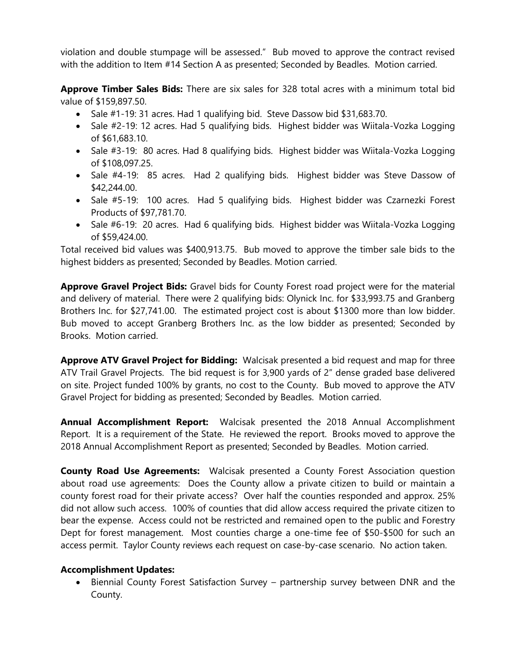violation and double stumpage will be assessed." Bub moved to approve the contract revised with the addition to Item #14 Section A as presented; Seconded by Beadles. Motion carried.

**Approve Timber Sales Bids:** There are six sales for 328 total acres with a minimum total bid value of \$159,897.50.

- Sale #1-19: 31 acres. Had 1 qualifying bid. Steve Dassow bid \$31,683.70.
- Sale #2-19: 12 acres. Had 5 qualifying bids. Highest bidder was Wiitala-Vozka Logging of \$61,683.10.
- Sale #3-19: 80 acres. Had 8 qualifying bids. Highest bidder was Wiitala-Vozka Logging of \$108,097.25.
- Sale #4-19: 85 acres. Had 2 qualifying bids. Highest bidder was Steve Dassow of \$42,244.00.
- Sale #5-19: 100 acres. Had 5 qualifying bids. Highest bidder was Czarnezki Forest Products of \$97,781.70.
- Sale #6-19: 20 acres. Had 6 qualifying bids. Highest bidder was Wiitala-Vozka Logging of \$59,424.00.

Total received bid values was \$400,913.75. Bub moved to approve the timber sale bids to the highest bidders as presented; Seconded by Beadles. Motion carried.

**Approve Gravel Project Bids:** Gravel bids for County Forest road project were for the material and delivery of material. There were 2 qualifying bids: Olynick Inc. for \$33,993.75 and Granberg Brothers Inc. for \$27,741.00. The estimated project cost is about \$1300 more than low bidder. Bub moved to accept Granberg Brothers Inc. as the low bidder as presented; Seconded by Brooks. Motion carried.

**Approve ATV Gravel Project for Bidding:** Walcisak presented a bid request and map for three ATV Trail Gravel Projects. The bid request is for 3,900 yards of 2" dense graded base delivered on site. Project funded 100% by grants, no cost to the County. Bub moved to approve the ATV Gravel Project for bidding as presented; Seconded by Beadles. Motion carried.

**Annual Accomplishment Report:** Walcisak presented the 2018 Annual Accomplishment Report. It is a requirement of the State. He reviewed the report. Brooks moved to approve the 2018 Annual Accomplishment Report as presented; Seconded by Beadles. Motion carried.

**County Road Use Agreements:** Walcisak presented a County Forest Association question about road use agreements: Does the County allow a private citizen to build or maintain a county forest road for their private access? Over half the counties responded and approx. 25% did not allow such access. 100% of counties that did allow access required the private citizen to bear the expense. Access could not be restricted and remained open to the public and Forestry Dept for forest management. Most counties charge a one-time fee of \$50-\$500 for such an access permit. Taylor County reviews each request on case-by-case scenario. No action taken.

# **Accomplishment Updates:**

• Biennial County Forest Satisfaction Survey – partnership survey between DNR and the County.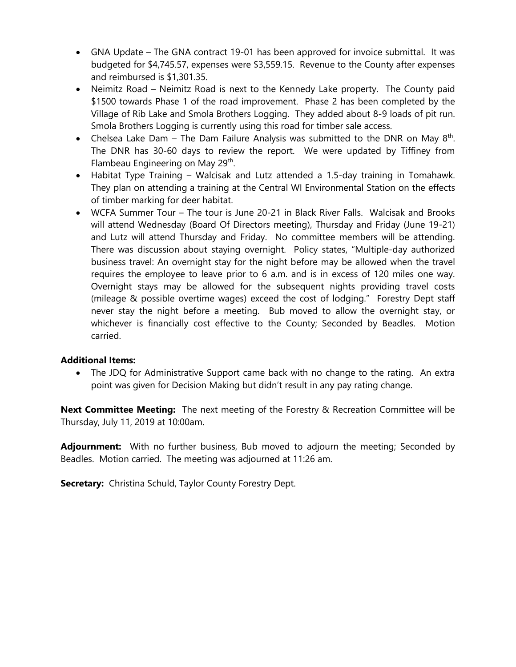- GNA Update The GNA contract 19-01 has been approved for invoice submittal. It was budgeted for \$4,745.57, expenses were \$3,559.15. Revenue to the County after expenses and reimbursed is \$1,301.35.
- Neimitz Road Neimitz Road is next to the Kennedy Lake property. The County paid \$1500 towards Phase 1 of the road improvement. Phase 2 has been completed by the Village of Rib Lake and Smola Brothers Logging. They added about 8-9 loads of pit run. Smola Brothers Logging is currently using this road for timber sale access.
- Chelsea Lake Dam The Dam Failure Analysis was submitted to the DNR on May  $8<sup>th</sup>$ . The DNR has 30-60 days to review the report. We were updated by Tiffiney from Flambeau Engineering on May 29<sup>th</sup>.
- Habitat Type Training Walcisak and Lutz attended a 1.5-day training in Tomahawk. They plan on attending a training at the Central WI Environmental Station on the effects of timber marking for deer habitat.
- WCFA Summer Tour The tour is June 20-21 in Black River Falls. Walcisak and Brooks will attend Wednesday (Board Of Directors meeting), Thursday and Friday (June 19-21) and Lutz will attend Thursday and Friday. No committee members will be attending. There was discussion about staying overnight. Policy states, "Multiple-day authorized business travel: An overnight stay for the night before may be allowed when the travel requires the employee to leave prior to 6 a.m. and is in excess of 120 miles one way. Overnight stays may be allowed for the subsequent nights providing travel costs (mileage & possible overtime wages) exceed the cost of lodging." Forestry Dept staff never stay the night before a meeting. Bub moved to allow the overnight stay, or whichever is financially cost effective to the County; Seconded by Beadles. Motion carried.

# **Additional Items:**

• The JDQ for Administrative Support came back with no change to the rating. An extra point was given for Decision Making but didn't result in any pay rating change.

**Next Committee Meeting:** The next meeting of the Forestry & Recreation Committee will be Thursday, July 11, 2019 at 10:00am.

Adjournment: With no further business, Bub moved to adjourn the meeting; Seconded by Beadles. Motion carried. The meeting was adjourned at 11:26 am.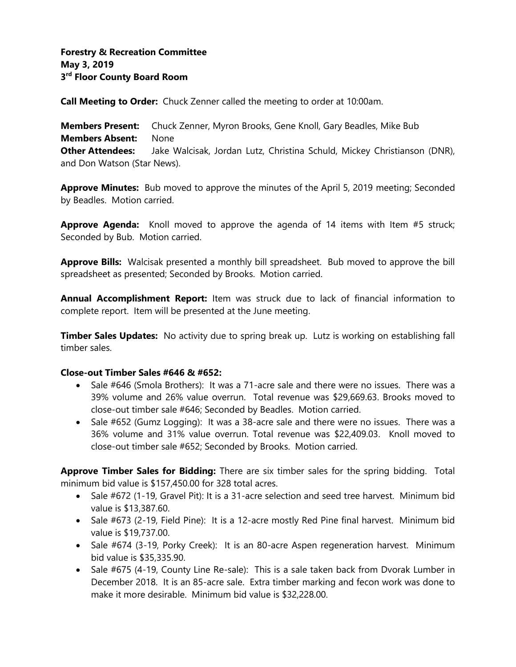**Call Meeting to Order:** Chuck Zenner called the meeting to order at 10:00am.

**Members Present:** Chuck Zenner, Myron Brooks, Gene Knoll, Gary Beadles, Mike Bub **Members Absent:** None **Other Attendees:** Jake Walcisak, Jordan Lutz, Christina Schuld, Mickey Christianson (DNR), and Don Watson (Star News).

**Approve Minutes:** Bub moved to approve the minutes of the April 5, 2019 meeting; Seconded by Beadles. Motion carried.

**Approve Agenda:** Knoll moved to approve the agenda of 14 items with Item #5 struck; Seconded by Bub. Motion carried.

**Approve Bills:** Walcisak presented a monthly bill spreadsheet. Bub moved to approve the bill spreadsheet as presented; Seconded by Brooks. Motion carried.

**Annual Accomplishment Report:** Item was struck due to lack of financial information to complete report. Item will be presented at the June meeting.

**Timber Sales Updates:** No activity due to spring break up. Lutz is working on establishing fall timber sales.

#### **Close-out Timber Sales #646 & #652:**

- Sale #646 (Smola Brothers): It was a 71-acre sale and there were no issues. There was a 39% volume and 26% value overrun. Total revenue was \$29,669.63. Brooks moved to close-out timber sale #646; Seconded by Beadles. Motion carried.
- Sale #652 (Gumz Logging): It was a 38-acre sale and there were no issues. There was a 36% volume and 31% value overrun. Total revenue was \$22,409.03. Knoll moved to close-out timber sale #652; Seconded by Brooks. Motion carried.

**Approve Timber Sales for Bidding:** There are six timber sales for the spring bidding. Total minimum bid value is \$157,450.00 for 328 total acres.

- Sale #672 (1-19, Gravel Pit): It is a 31-acre selection and seed tree harvest. Minimum bid value is \$13,387.60.
- Sale #673 (2-19, Field Pine): It is a 12-acre mostly Red Pine final harvest. Minimum bid value is \$19,737.00.
- Sale #674 (3-19, Porky Creek): It is an 80-acre Aspen regeneration harvest. Minimum bid value is \$35,335.90.
- Sale #675 (4-19, County Line Re-sale): This is a sale taken back from Dvorak Lumber in December 2018. It is an 85-acre sale. Extra timber marking and fecon work was done to make it more desirable. Minimum bid value is \$32,228.00.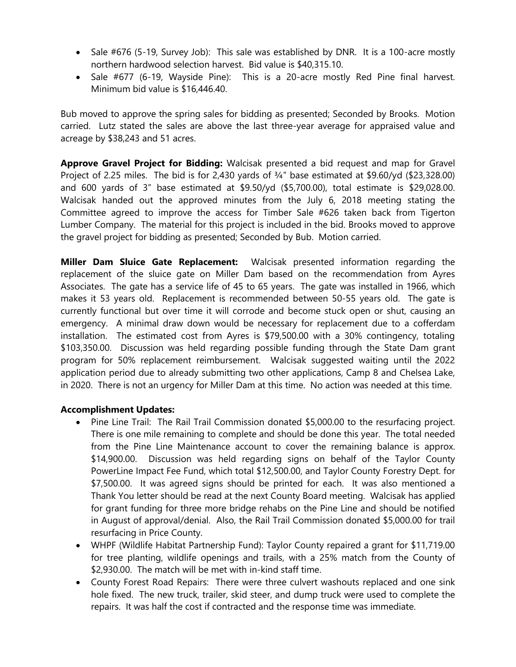- Sale #676 (5-19, Survey Job): This sale was established by DNR. It is a 100-acre mostly northern hardwood selection harvest. Bid value is \$40,315.10.
- Sale #677 (6-19, Wayside Pine): This is a 20-acre mostly Red Pine final harvest. Minimum bid value is \$16,446.40.

Bub moved to approve the spring sales for bidding as presented; Seconded by Brooks. Motion carried. Lutz stated the sales are above the last three-year average for appraised value and acreage by \$38,243 and 51 acres.

**Approve Gravel Project for Bidding:** Walcisak presented a bid request and map for Gravel Project of 2.25 miles. The bid is for 2,430 yards of ¾" base estimated at \$9.60/yd (\$23,328.00) and 600 yards of 3" base estimated at \$9.50/yd (\$5,700.00), total estimate is \$29,028.00. Walcisak handed out the approved minutes from the July 6, 2018 meeting stating the Committee agreed to improve the access for Timber Sale #626 taken back from Tigerton Lumber Company. The material for this project is included in the bid. Brooks moved to approve the gravel project for bidding as presented; Seconded by Bub. Motion carried.

**Miller Dam Sluice Gate Replacement:** Walcisak presented information regarding the replacement of the sluice gate on Miller Dam based on the recommendation from Ayres Associates. The gate has a service life of 45 to 65 years. The gate was installed in 1966, which makes it 53 years old. Replacement is recommended between 50-55 years old. The gate is currently functional but over time it will corrode and become stuck open or shut, causing an emergency. A minimal draw down would be necessary for replacement due to a cofferdam installation. The estimated cost from Ayres is \$79,500.00 with a 30% contingency, totaling \$103,350.00. Discussion was held regarding possible funding through the State Dam grant program for 50% replacement reimbursement. Walcisak suggested waiting until the 2022 application period due to already submitting two other applications, Camp 8 and Chelsea Lake, in 2020. There is not an urgency for Miller Dam at this time. No action was needed at this time.

#### **Accomplishment Updates:**

- Pine Line Trail: The Rail Trail Commission donated \$5,000.00 to the resurfacing project. There is one mile remaining to complete and should be done this year. The total needed from the Pine Line Maintenance account to cover the remaining balance is approx. \$14,900.00. Discussion was held regarding signs on behalf of the Taylor County PowerLine Impact Fee Fund, which total \$12,500.00, and Taylor County Forestry Dept. for \$7,500.00. It was agreed signs should be printed for each. It was also mentioned a Thank You letter should be read at the next County Board meeting. Walcisak has applied for grant funding for three more bridge rehabs on the Pine Line and should be notified in August of approval/denial. Also, the Rail Trail Commission donated \$5,000.00 for trail resurfacing in Price County.
- WHPF (Wildlife Habitat Partnership Fund): Taylor County repaired a grant for \$11,719.00 for tree planting, wildlife openings and trails, with a 25% match from the County of \$2,930.00. The match will be met with in-kind staff time.
- County Forest Road Repairs: There were three culvert washouts replaced and one sink hole fixed. The new truck, trailer, skid steer, and dump truck were used to complete the repairs. It was half the cost if contracted and the response time was immediate.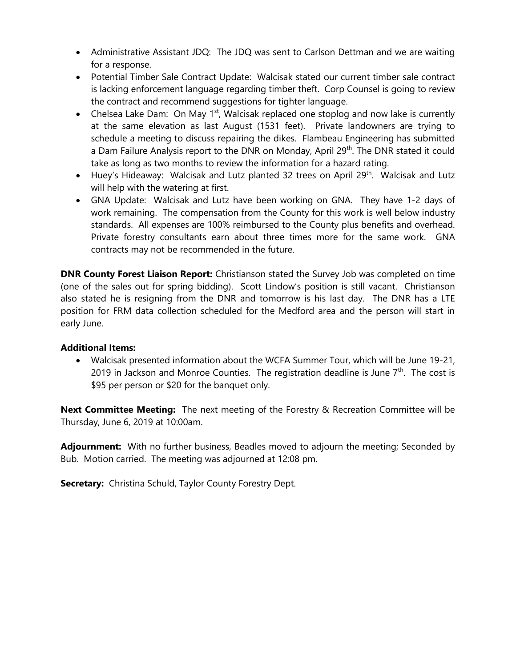- Administrative Assistant JDQ: The JDQ was sent to Carlson Dettman and we are waiting for a response.
- Potential Timber Sale Contract Update: Walcisak stated our current timber sale contract is lacking enforcement language regarding timber theft. Corp Counsel is going to review the contract and recommend suggestions for tighter language.
- Chelsea Lake Dam: On May 1<sup>st</sup>, Walcisak replaced one stoplog and now lake is currently at the same elevation as last August (1531 feet). Private landowners are trying to schedule a meeting to discuss repairing the dikes. Flambeau Engineering has submitted a Dam Failure Analysis report to the DNR on Monday, April 29<sup>th</sup>. The DNR stated it could take as long as two months to review the information for a hazard rating.
- Huey's Hideaway: Walcisak and Lutz planted 32 trees on April 29<sup>th</sup>. Walcisak and Lutz will help with the watering at first.
- GNA Update: Walcisak and Lutz have been working on GNA. They have 1-2 days of work remaining. The compensation from the County for this work is well below industry standards. All expenses are 100% reimbursed to the County plus benefits and overhead. Private forestry consultants earn about three times more for the same work. GNA contracts may not be recommended in the future.

**DNR County Forest Liaison Report:** Christianson stated the Survey Job was completed on time (one of the sales out for spring bidding). Scott Lindow's position is still vacant. Christianson also stated he is resigning from the DNR and tomorrow is his last day. The DNR has a LTE position for FRM data collection scheduled for the Medford area and the person will start in early June.

# **Additional Items:**

• Walcisak presented information about the WCFA Summer Tour, which will be June 19-21, 2019 in Jackson and Monroe Counties. The registration deadline is June  $7<sup>th</sup>$ . The cost is \$95 per person or \$20 for the banquet only.

**Next Committee Meeting:** The next meeting of the Forestry & Recreation Committee will be Thursday, June 6, 2019 at 10:00am.

**Adjournment:** With no further business, Beadles moved to adjourn the meeting; Seconded by Bub. Motion carried. The meeting was adjourned at 12:08 pm.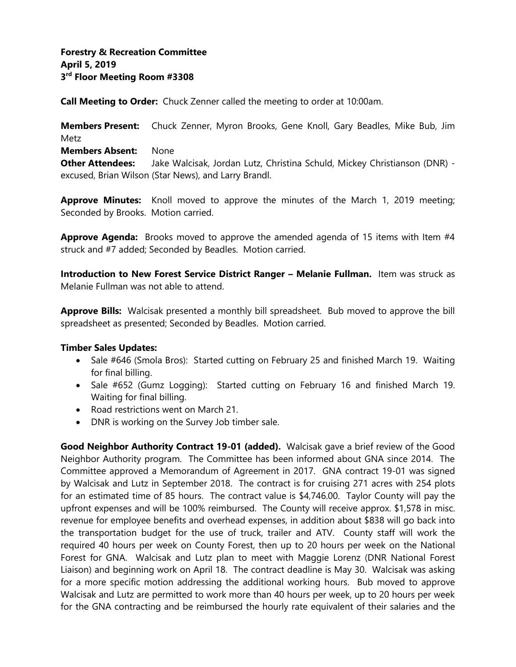# **Forestry & Recreation Committee April 5, 2019 3 rd Floor Meeting Room #3308**

**Call Meeting to Order:** Chuck Zenner called the meeting to order at 10:00am.

**Members Present:** Chuck Zenner, Myron Brooks, Gene Knoll, Gary Beadles, Mike Bub, Jim Metz **Members Absent:** None **Other Attendees:** Jake Walcisak, Jordan Lutz, Christina Schuld, Mickey Christianson (DNR) excused, Brian Wilson (Star News), and Larry Brandl.

**Approve Minutes:** Knoll moved to approve the minutes of the March 1, 2019 meeting; Seconded by Brooks. Motion carried.

**Approve Agenda:** Brooks moved to approve the amended agenda of 15 items with Item #4 struck and #7 added; Seconded by Beadles. Motion carried.

**Introduction to New Forest Service District Ranger – Melanie Fullman.** Item was struck as Melanie Fullman was not able to attend.

**Approve Bills:** Walcisak presented a monthly bill spreadsheet. Bub moved to approve the bill spreadsheet as presented; Seconded by Beadles. Motion carried.

#### **Timber Sales Updates:**

- Sale #646 (Smola Bros): Started cutting on February 25 and finished March 19. Waiting for final billing.
- Sale #652 (Gumz Logging): Started cutting on February 16 and finished March 19. Waiting for final billing.
- Road restrictions went on March 21.
- DNR is working on the Survey Job timber sale.

**Good Neighbor Authority Contract 19-01 (added).** Walcisak gave a brief review of the Good Neighbor Authority program. The Committee has been informed about GNA since 2014. The Committee approved a Memorandum of Agreement in 2017. GNA contract 19-01 was signed by Walcisak and Lutz in September 2018. The contract is for cruising 271 acres with 254 plots for an estimated time of 85 hours. The contract value is \$4,746.00. Taylor County will pay the upfront expenses and will be 100% reimbursed. The County will receive approx. \$1,578 in misc. revenue for employee benefits and overhead expenses, in addition about \$838 will go back into the transportation budget for the use of truck, trailer and ATV. County staff will work the required 40 hours per week on County Forest, then up to 20 hours per week on the National Forest for GNA. Walcisak and Lutz plan to meet with Maggie Lorenz (DNR National Forest Liaison) and beginning work on April 18. The contract deadline is May 30. Walcisak was asking for a more specific motion addressing the additional working hours. Bub moved to approve Walcisak and Lutz are permitted to work more than 40 hours per week, up to 20 hours per week for the GNA contracting and be reimbursed the hourly rate equivalent of their salaries and the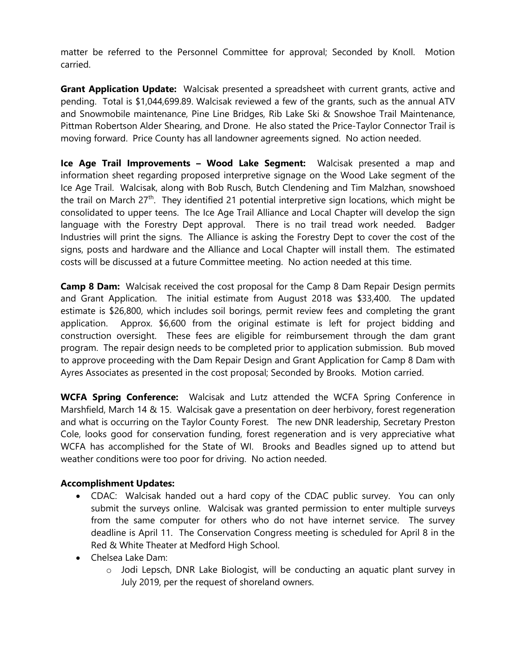matter be referred to the Personnel Committee for approval; Seconded by Knoll. Motion carried.

**Grant Application Update:** Walcisak presented a spreadsheet with current grants, active and pending. Total is \$1,044,699.89. Walcisak reviewed a few of the grants, such as the annual ATV and Snowmobile maintenance, Pine Line Bridges, Rib Lake Ski & Snowshoe Trail Maintenance, Pittman Robertson Alder Shearing, and Drone. He also stated the Price-Taylor Connector Trail is moving forward. Price County has all landowner agreements signed. No action needed.

**Ice Age Trail Improvements – Wood Lake Segment:** Walcisak presented a map and information sheet regarding proposed interpretive signage on the Wood Lake segment of the Ice Age Trail. Walcisak, along with Bob Rusch, Butch Clendening and Tim Malzhan, snowshoed the trail on March 27<sup>th</sup>. They identified 21 potential interpretive sign locations, which might be consolidated to upper teens. The Ice Age Trail Alliance and Local Chapter will develop the sign language with the Forestry Dept approval. There is no trail tread work needed. Badger Industries will print the signs. The Alliance is asking the Forestry Dept to cover the cost of the signs, posts and hardware and the Alliance and Local Chapter will install them. The estimated costs will be discussed at a future Committee meeting. No action needed at this time.

**Camp 8 Dam:** Walcisak received the cost proposal for the Camp 8 Dam Repair Design permits and Grant Application. The initial estimate from August 2018 was \$33,400. The updated estimate is \$26,800, which includes soil borings, permit review fees and completing the grant application. Approx. \$6,600 from the original estimate is left for project bidding and construction oversight. These fees are eligible for reimbursement through the dam grant program. The repair design needs to be completed prior to application submission. Bub moved to approve proceeding with the Dam Repair Design and Grant Application for Camp 8 Dam with Ayres Associates as presented in the cost proposal; Seconded by Brooks. Motion carried.

**WCFA Spring Conference:** Walcisak and Lutz attended the WCFA Spring Conference in Marshfield, March 14 & 15. Walcisak gave a presentation on deer herbivory, forest regeneration and what is occurring on the Taylor County Forest. The new DNR leadership, Secretary Preston Cole, looks good for conservation funding, forest regeneration and is very appreciative what WCFA has accomplished for the State of WI. Brooks and Beadles signed up to attend but weather conditions were too poor for driving. No action needed.

# **Accomplishment Updates:**

- CDAC: Walcisak handed out a hard copy of the CDAC public survey. You can only submit the surveys online. Walcisak was granted permission to enter multiple surveys from the same computer for others who do not have internet service. The survey deadline is April 11. The Conservation Congress meeting is scheduled for April 8 in the Red & White Theater at Medford High School.
- Chelsea Lake Dam:
	- o Jodi Lepsch, DNR Lake Biologist, will be conducting an aquatic plant survey in July 2019, per the request of shoreland owners.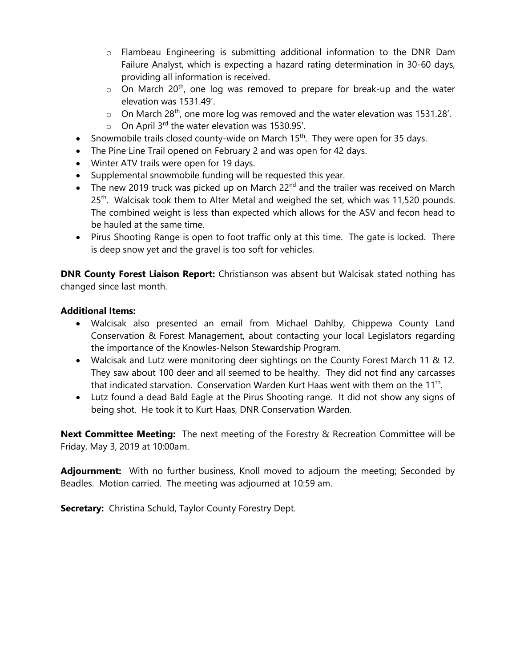- $\circ$  Flambeau Engineering is submitting additional information to the DNR Dam Failure Analyst, which is expecting a hazard rating determination in 30-60 days, providing all information is received.
- $\circ$  On March 20<sup>th</sup>, one log was removed to prepare for break-up and the water elevation was 1531.49'.
- $\circ$  On March 28<sup>th</sup>, one more log was removed and the water elevation was 1531.28'.
- $\circ$  On April 3<sup>rd</sup> the water elevation was 1530.95'.
- Snowmobile trails closed county-wide on March  $15<sup>th</sup>$ . They were open for 35 days.
- The Pine Line Trail opened on February 2 and was open for 42 days.
- Winter ATV trails were open for 19 days.
- Supplemental snowmobile funding will be requested this year.
- The new 2019 truck was picked up on March  $22<sup>nd</sup>$  and the trailer was received on March  $25<sup>th</sup>$ . Walcisak took them to Alter Metal and weighed the set, which was 11,520 pounds. The combined weight is less than expected which allows for the ASV and fecon head to be hauled at the same time.
- Pirus Shooting Range is open to foot traffic only at this time. The gate is locked. There is deep snow yet and the gravel is too soft for vehicles.

**DNR County Forest Liaison Report:** Christianson was absent but Walcisak stated nothing has changed since last month.

### **Additional Items:**

- Walcisak also presented an email from Michael Dahlby, Chippewa County Land Conservation & Forest Management, about contacting your local Legislators regarding the importance of the Knowles-Nelson Stewardship Program.
- Walcisak and Lutz were monitoring deer sightings on the County Forest March 11 & 12. They saw about 100 deer and all seemed to be healthy. They did not find any carcasses that indicated starvation. Conservation Warden Kurt Haas went with them on the 11<sup>th</sup>.
- Lutz found a dead Bald Eagle at the Pirus Shooting range. It did not show any signs of being shot. He took it to Kurt Haas, DNR Conservation Warden.

**Next Committee Meeting:** The next meeting of the Forestry & Recreation Committee will be Friday, May 3, 2019 at 10:00am.

**Adjournment:** With no further business, Knoll moved to adjourn the meeting; Seconded by Beadles. Motion carried. The meeting was adjourned at 10:59 am.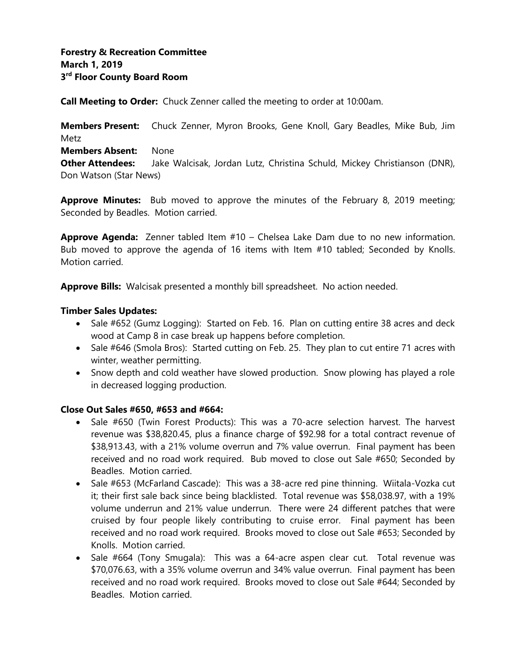**Call Meeting to Order:** Chuck Zenner called the meeting to order at 10:00am.

**Members Present:** Chuck Zenner, Myron Brooks, Gene Knoll, Gary Beadles, Mike Bub, Jim Metz

**Members Absent:** None

**Other Attendees:** Jake Walcisak, Jordan Lutz, Christina Schuld, Mickey Christianson (DNR), Don Watson (Star News)

**Approve Minutes:** Bub moved to approve the minutes of the February 8, 2019 meeting; Seconded by Beadles. Motion carried.

**Approve Agenda:** Zenner tabled Item #10 – Chelsea Lake Dam due to no new information. Bub moved to approve the agenda of 16 items with Item #10 tabled; Seconded by Knolls. Motion carried.

**Approve Bills:** Walcisak presented a monthly bill spreadsheet. No action needed.

### **Timber Sales Updates:**

- Sale #652 (Gumz Logging): Started on Feb. 16. Plan on cutting entire 38 acres and deck wood at Camp 8 in case break up happens before completion.
- Sale #646 (Smola Bros): Started cutting on Feb. 25. They plan to cut entire 71 acres with winter, weather permitting.
- Snow depth and cold weather have slowed production. Snow plowing has played a role in decreased logging production.

# **Close Out Sales #650, #653 and #664:**

- Sale #650 (Twin Forest Products): This was a 70-acre selection harvest. The harvest revenue was \$38,820.45, plus a finance charge of \$92.98 for a total contract revenue of \$38,913.43, with a 21% volume overrun and 7% value overrun. Final payment has been received and no road work required. Bub moved to close out Sale #650; Seconded by Beadles. Motion carried.
- Sale #653 (McFarland Cascade): This was a 38-acre red pine thinning. Wiitala-Vozka cut it; their first sale back since being blacklisted. Total revenue was \$58,038.97, with a 19% volume underrun and 21% value underrun. There were 24 different patches that were cruised by four people likely contributing to cruise error. Final payment has been received and no road work required. Brooks moved to close out Sale #653; Seconded by Knolls. Motion carried.
- Sale #664 (Tony Smugala): This was a 64-acre aspen clear cut. Total revenue was \$70,076.63, with a 35% volume overrun and 34% value overrun. Final payment has been received and no road work required. Brooks moved to close out Sale #644; Seconded by Beadles. Motion carried.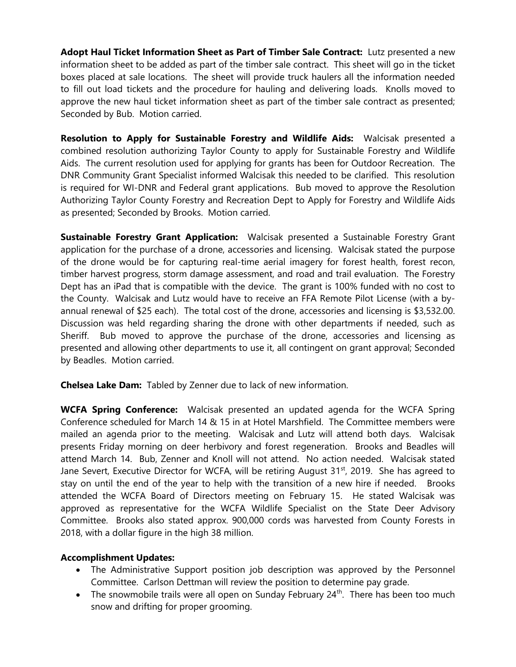**Adopt Haul Ticket Information Sheet as Part of Timber Sale Contract:** Lutz presented a new information sheet to be added as part of the timber sale contract. This sheet will go in the ticket boxes placed at sale locations. The sheet will provide truck haulers all the information needed to fill out load tickets and the procedure for hauling and delivering loads. Knolls moved to approve the new haul ticket information sheet as part of the timber sale contract as presented; Seconded by Bub. Motion carried.

**Resolution to Apply for Sustainable Forestry and Wildlife Aids:** Walcisak presented a combined resolution authorizing Taylor County to apply for Sustainable Forestry and Wildlife Aids. The current resolution used for applying for grants has been for Outdoor Recreation. The DNR Community Grant Specialist informed Walcisak this needed to be clarified. This resolution is required for WI-DNR and Federal grant applications. Bub moved to approve the Resolution Authorizing Taylor County Forestry and Recreation Dept to Apply for Forestry and Wildlife Aids as presented; Seconded by Brooks. Motion carried.

**Sustainable Forestry Grant Application:** Walcisak presented a Sustainable Forestry Grant application for the purchase of a drone, accessories and licensing. Walcisak stated the purpose of the drone would be for capturing real-time aerial imagery for forest health, forest recon, timber harvest progress, storm damage assessment, and road and trail evaluation. The Forestry Dept has an iPad that is compatible with the device. The grant is 100% funded with no cost to the County. Walcisak and Lutz would have to receive an FFA Remote Pilot License (with a byannual renewal of \$25 each). The total cost of the drone, accessories and licensing is \$3,532.00. Discussion was held regarding sharing the drone with other departments if needed, such as Sheriff. Bub moved to approve the purchase of the drone, accessories and licensing as presented and allowing other departments to use it, all contingent on grant approval; Seconded by Beadles. Motion carried.

**Chelsea Lake Dam:** Tabled by Zenner due to lack of new information.

**WCFA Spring Conference:** Walcisak presented an updated agenda for the WCFA Spring Conference scheduled for March 14 & 15 in at Hotel Marshfield. The Committee members were mailed an agenda prior to the meeting. Walcisak and Lutz will attend both days. Walcisak presents Friday morning on deer herbivory and forest regeneration. Brooks and Beadles will attend March 14. Bub, Zenner and Knoll will not attend. No action needed. Walcisak stated Jane Severt, Executive Director for WCFA, will be retiring August 31<sup>st</sup>, 2019. She has agreed to stay on until the end of the year to help with the transition of a new hire if needed. Brooks attended the WCFA Board of Directors meeting on February 15. He stated Walcisak was approved as representative for the WCFA Wildlife Specialist on the State Deer Advisory Committee. Brooks also stated approx. 900,000 cords was harvested from County Forests in 2018, with a dollar figure in the high 38 million.

# **Accomplishment Updates:**

- The Administrative Support position job description was approved by the Personnel Committee. Carlson Dettman will review the position to determine pay grade.
- The snowmobile trails were all open on Sunday February  $24<sup>th</sup>$ . There has been too much snow and drifting for proper grooming.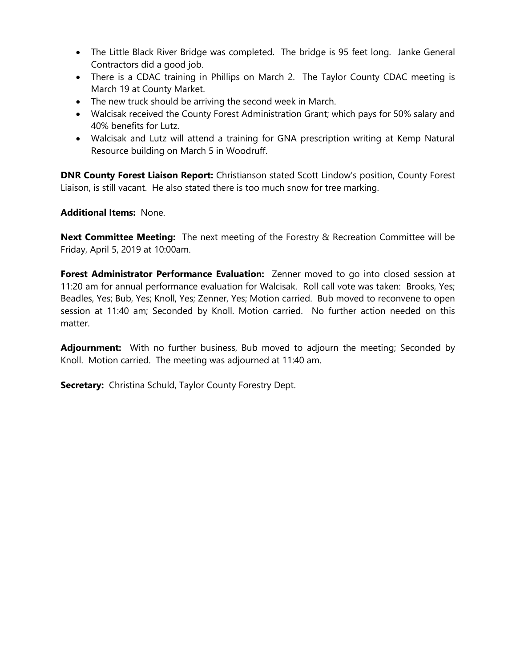- The Little Black River Bridge was completed. The bridge is 95 feet long. Janke General Contractors did a good job.
- There is a CDAC training in Phillips on March 2. The Taylor County CDAC meeting is March 19 at County Market.
- The new truck should be arriving the second week in March.
- Walcisak received the County Forest Administration Grant; which pays for 50% salary and 40% benefits for Lutz.
- Walcisak and Lutz will attend a training for GNA prescription writing at Kemp Natural Resource building on March 5 in Woodruff.

**DNR County Forest Liaison Report:** Christianson stated Scott Lindow's position, County Forest Liaison, is still vacant. He also stated there is too much snow for tree marking.

### **Additional Items:** None.

**Next Committee Meeting:** The next meeting of the Forestry & Recreation Committee will be Friday, April 5, 2019 at 10:00am.

**Forest Administrator Performance Evaluation:** Zenner moved to go into closed session at 11:20 am for annual performance evaluation for Walcisak. Roll call vote was taken: Brooks, Yes; Beadles, Yes; Bub, Yes; Knoll, Yes; Zenner, Yes; Motion carried. Bub moved to reconvene to open session at 11:40 am; Seconded by Knoll. Motion carried. No further action needed on this matter.

**Adjournment:** With no further business, Bub moved to adjourn the meeting; Seconded by Knoll. Motion carried. The meeting was adjourned at 11:40 am.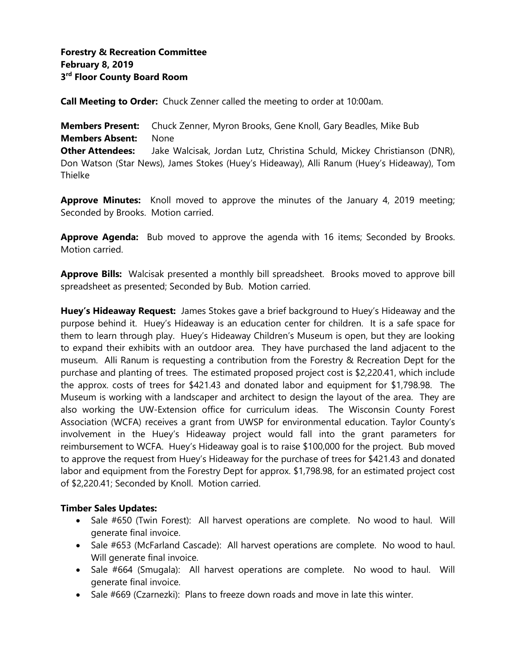**Call Meeting to Order:** Chuck Zenner called the meeting to order at 10:00am.

**Members Present:** Chuck Zenner, Myron Brooks, Gene Knoll, Gary Beadles, Mike Bub **Members Absent:** None **Other Attendees:** Jake Walcisak, Jordan Lutz, Christina Schuld, Mickey Christianson (DNR), Don Watson (Star News), James Stokes (Huey's Hideaway), Alli Ranum (Huey's Hideaway), Tom **Thielke** 

**Approve Minutes:** Knoll moved to approve the minutes of the January 4, 2019 meeting; Seconded by Brooks. Motion carried.

**Approve Agenda:** Bub moved to approve the agenda with 16 items; Seconded by Brooks. Motion carried.

**Approve Bills:** Walcisak presented a monthly bill spreadsheet. Brooks moved to approve bill spreadsheet as presented; Seconded by Bub. Motion carried.

**Huey's Hideaway Request:** James Stokes gave a brief background to Huey's Hideaway and the purpose behind it. Huey's Hideaway is an education center for children. It is a safe space for them to learn through play. Huey's Hideaway Children's Museum is open, but they are looking to expand their exhibits with an outdoor area. They have purchased the land adjacent to the museum. Alli Ranum is requesting a contribution from the Forestry & Recreation Dept for the purchase and planting of trees. The estimated proposed project cost is \$2,220.41, which include the approx. costs of trees for \$421.43 and donated labor and equipment for \$1,798.98. The Museum is working with a landscaper and architect to design the layout of the area. They are also working the UW-Extension office for curriculum ideas. The Wisconsin County Forest Association (WCFA) receives a grant from UWSP for environmental education. Taylor County's involvement in the Huey's Hideaway project would fall into the grant parameters for reimbursement to WCFA. Huey's Hideaway goal is to raise \$100,000 for the project. Bub moved to approve the request from Huey's Hideaway for the purchase of trees for \$421.43 and donated labor and equipment from the Forestry Dept for approx. \$1,798.98, for an estimated project cost of \$2,220.41; Seconded by Knoll. Motion carried.

# **Timber Sales Updates:**

- Sale #650 (Twin Forest): All harvest operations are complete. No wood to haul. Will generate final invoice.
- Sale #653 (McFarland Cascade): All harvest operations are complete. No wood to haul. Will generate final invoice.
- Sale #664 (Smugala): All harvest operations are complete. No wood to haul. Will generate final invoice.
- Sale #669 (Czarnezki): Plans to freeze down roads and move in late this winter.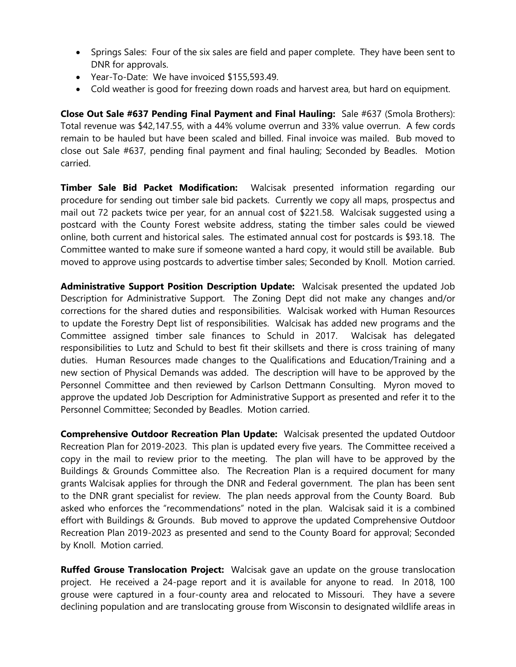- Springs Sales: Four of the six sales are field and paper complete. They have been sent to DNR for approvals.
- Year-To-Date: We have invoiced \$155,593.49.
- Cold weather is good for freezing down roads and harvest area, but hard on equipment.

**Close Out Sale #637 Pending Final Payment and Final Hauling:** Sale #637 (Smola Brothers): Total revenue was \$42,147.55, with a 44% volume overrun and 33% value overrun. A few cords remain to be hauled but have been scaled and billed. Final invoice was mailed. Bub moved to close out Sale #637, pending final payment and final hauling; Seconded by Beadles. Motion carried.

**Timber Sale Bid Packet Modification:** Walcisak presented information regarding our procedure for sending out timber sale bid packets. Currently we copy all maps, prospectus and mail out 72 packets twice per year, for an annual cost of \$221.58. Walcisak suggested using a postcard with the County Forest website address, stating the timber sales could be viewed online, both current and historical sales. The estimated annual cost for postcards is \$93.18. The Committee wanted to make sure if someone wanted a hard copy, it would still be available. Bub moved to approve using postcards to advertise timber sales; Seconded by Knoll. Motion carried.

**Administrative Support Position Description Update:** Walcisak presented the updated Job Description for Administrative Support. The Zoning Dept did not make any changes and/or corrections for the shared duties and responsibilities. Walcisak worked with Human Resources to update the Forestry Dept list of responsibilities. Walcisak has added new programs and the Committee assigned timber sale finances to Schuld in 2017. Walcisak has delegated responsibilities to Lutz and Schuld to best fit their skillsets and there is cross training of many duties. Human Resources made changes to the Qualifications and Education/Training and a new section of Physical Demands was added. The description will have to be approved by the Personnel Committee and then reviewed by Carlson Dettmann Consulting. Myron moved to approve the updated Job Description for Administrative Support as presented and refer it to the Personnel Committee; Seconded by Beadles. Motion carried.

**Comprehensive Outdoor Recreation Plan Update:** Walcisak presented the updated Outdoor Recreation Plan for 2019-2023. This plan is updated every five years. The Committee received a copy in the mail to review prior to the meeting. The plan will have to be approved by the Buildings & Grounds Committee also. The Recreation Plan is a required document for many grants Walcisak applies for through the DNR and Federal government. The plan has been sent to the DNR grant specialist for review. The plan needs approval from the County Board. Bub asked who enforces the "recommendations" noted in the plan. Walcisak said it is a combined effort with Buildings & Grounds. Bub moved to approve the updated Comprehensive Outdoor Recreation Plan 2019-2023 as presented and send to the County Board for approval; Seconded by Knoll. Motion carried.

**Ruffed Grouse Translocation Project:** Walcisak gave an update on the grouse translocation project. He received a 24-page report and it is available for anyone to read. In 2018, 100 grouse were captured in a four-county area and relocated to Missouri. They have a severe declining population and are translocating grouse from Wisconsin to designated wildlife areas in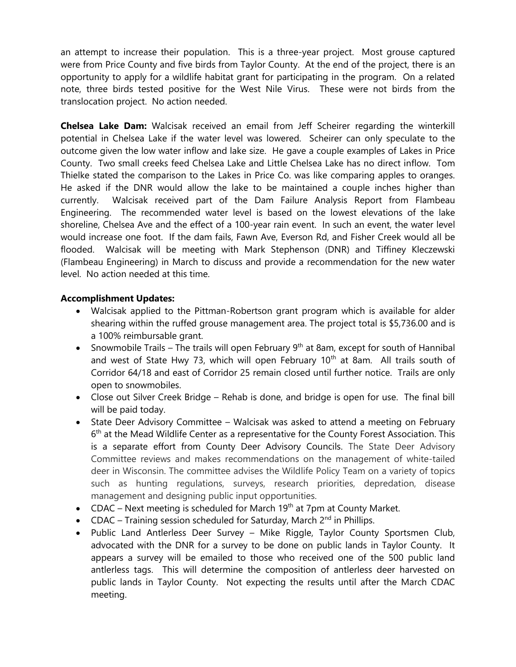an attempt to increase their population. This is a three-year project. Most grouse captured were from Price County and five birds from Taylor County. At the end of the project, there is an opportunity to apply for a wildlife habitat grant for participating in the program. On a related note, three birds tested positive for the West Nile Virus. These were not birds from the translocation project. No action needed.

**Chelsea Lake Dam:** Walcisak received an email from Jeff Scheirer regarding the winterkill potential in Chelsea Lake if the water level was lowered. Scheirer can only speculate to the outcome given the low water inflow and lake size. He gave a couple examples of Lakes in Price County. Two small creeks feed Chelsea Lake and Little Chelsea Lake has no direct inflow. Tom Thielke stated the comparison to the Lakes in Price Co. was like comparing apples to oranges. He asked if the DNR would allow the lake to be maintained a couple inches higher than currently. Walcisak received part of the Dam Failure Analysis Report from Flambeau Engineering. The recommended water level is based on the lowest elevations of the lake shoreline, Chelsea Ave and the effect of a 100-year rain event. In such an event, the water level would increase one foot. If the dam fails, Fawn Ave, Everson Rd, and Fisher Creek would all be flooded. Walcisak will be meeting with Mark Stephenson (DNR) and Tiffiney Kleczewski (Flambeau Engineering) in March to discuss and provide a recommendation for the new water level. No action needed at this time.

# **Accomplishment Updates:**

- Walcisak applied to the Pittman-Robertson grant program which is available for alder shearing within the ruffed grouse management area. The project total is \$5,736.00 and is a 100% reimbursable grant.
- Snowmobile Trails The trails will open February  $9<sup>th</sup>$  at 8am, except for south of Hannibal and west of State Hwy 73, which will open February  $10<sup>th</sup>$  at 8am. All trails south of Corridor 64/18 and east of Corridor 25 remain closed until further notice. Trails are only open to snowmobiles.
- Close out Silver Creek Bridge Rehab is done, and bridge is open for use. The final bill will be paid today.
- State Deer Advisory Committee Walcisak was asked to attend a meeting on February 6<sup>th</sup> at the Mead Wildlife Center as a representative for the County Forest Association. This is a separate effort from County Deer Advisory Councils. The State Deer Advisory Committee reviews and makes recommendations on the management of white-tailed deer in Wisconsin. The committee advises the Wildlife Policy Team on a variety of topics such as hunting regulations, surveys, research priorities, depredation, disease management and designing public input opportunities.
- CDAC Next meeting is scheduled for March 19<sup>th</sup> at 7pm at County Market.
- CDAC Training session scheduled for Saturday, March  $2^{nd}$  in Phillips.
- Public Land Antlerless Deer Survey Mike Riggle, Taylor County Sportsmen Club, advocated with the DNR for a survey to be done on public lands in Taylor County. It appears a survey will be emailed to those who received one of the 500 public land antlerless tags. This will determine the composition of antlerless deer harvested on public lands in Taylor County. Not expecting the results until after the March CDAC meeting.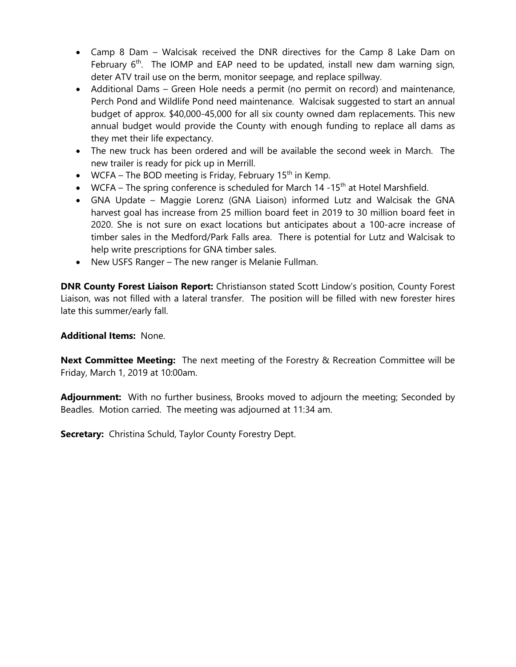- Camp 8 Dam Walcisak received the DNR directives for the Camp 8 Lake Dam on February  $6<sup>th</sup>$ . The IOMP and EAP need to be updated, install new dam warning sign, deter ATV trail use on the berm, monitor seepage, and replace spillway.
- Additional Dams Green Hole needs a permit (no permit on record) and maintenance, Perch Pond and Wildlife Pond need maintenance. Walcisak suggested to start an annual budget of approx. \$40,000-45,000 for all six county owned dam replacements. This new annual budget would provide the County with enough funding to replace all dams as they met their life expectancy.
- The new truck has been ordered and will be available the second week in March. The new trailer is ready for pick up in Merrill.
- WCFA The BOD meeting is Friday, February 15<sup>th</sup> in Kemp.
- WCFA The spring conference is scheduled for March 14 -15<sup>th</sup> at Hotel Marshfield.
- GNA Update Maggie Lorenz (GNA Liaison) informed Lutz and Walcisak the GNA harvest goal has increase from 25 million board feet in 2019 to 30 million board feet in 2020. She is not sure on exact locations but anticipates about a 100-acre increase of timber sales in the Medford/Park Falls area. There is potential for Lutz and Walcisak to help write prescriptions for GNA timber sales.
- New USFS Ranger The new ranger is Melanie Fullman.

**DNR County Forest Liaison Report:** Christianson stated Scott Lindow's position, County Forest Liaison, was not filled with a lateral transfer. The position will be filled with new forester hires late this summer/early fall.

**Additional Items:** None.

**Next Committee Meeting:** The next meeting of the Forestry & Recreation Committee will be Friday, March 1, 2019 at 10:00am.

**Adjournment:** With no further business, Brooks moved to adjourn the meeting; Seconded by Beadles. Motion carried. The meeting was adjourned at 11:34 am.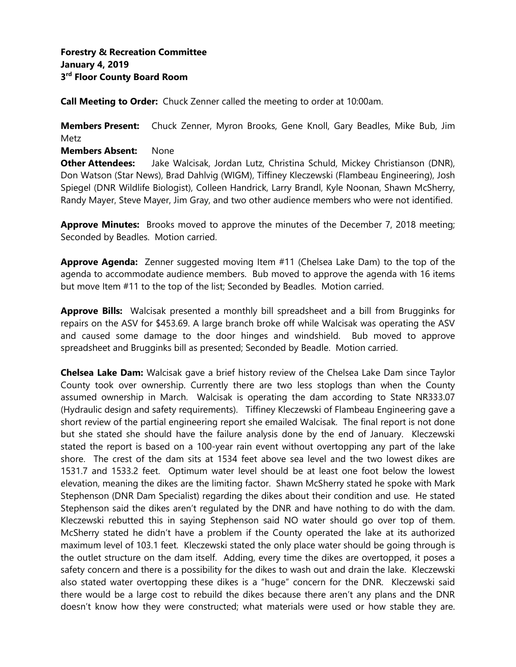**Call Meeting to Order:** Chuck Zenner called the meeting to order at 10:00am.

**Members Present:** Chuck Zenner, Myron Brooks, Gene Knoll, Gary Beadles, Mike Bub, Jim Metz

**Members Absent:** None

**Other Attendees:** Jake Walcisak, Jordan Lutz, Christina Schuld, Mickey Christianson (DNR), Don Watson (Star News), Brad Dahlvig (WIGM), Tiffiney Kleczewski (Flambeau Engineering), Josh Spiegel (DNR Wildlife Biologist), Colleen Handrick, Larry Brandl, Kyle Noonan, Shawn McSherry, Randy Mayer, Steve Mayer, Jim Gray, and two other audience members who were not identified.

**Approve Minutes:** Brooks moved to approve the minutes of the December 7, 2018 meeting; Seconded by Beadles. Motion carried.

**Approve Agenda:** Zenner suggested moving Item #11 (Chelsea Lake Dam) to the top of the agenda to accommodate audience members. Bub moved to approve the agenda with 16 items but move Item #11 to the top of the list; Seconded by Beadles. Motion carried.

**Approve Bills:** Walcisak presented a monthly bill spreadsheet and a bill from Brugginks for repairs on the ASV for \$453.69. A large branch broke off while Walcisak was operating the ASV and caused some damage to the door hinges and windshield. Bub moved to approve spreadsheet and Brugginks bill as presented; Seconded by Beadle. Motion carried.

**Chelsea Lake Dam:** Walcisak gave a brief history review of the Chelsea Lake Dam since Taylor County took over ownership. Currently there are two less stoplogs than when the County assumed ownership in March. Walcisak is operating the dam according to State NR333.07 (Hydraulic design and safety requirements). Tiffiney Kleczewski of Flambeau Engineering gave a short review of the partial engineering report she emailed Walcisak. The final report is not done but she stated she should have the failure analysis done by the end of January. Kleczewski stated the report is based on a 100-year rain event without overtopping any part of the lake shore. The crest of the dam sits at 1534 feet above sea level and the two lowest dikes are 1531.7 and 1533.2 feet. Optimum water level should be at least one foot below the lowest elevation, meaning the dikes are the limiting factor. Shawn McSherry stated he spoke with Mark Stephenson (DNR Dam Specialist) regarding the dikes about their condition and use. He stated Stephenson said the dikes aren't regulated by the DNR and have nothing to do with the dam. Kleczewski rebutted this in saying Stephenson said NO water should go over top of them. McSherry stated he didn't have a problem if the County operated the lake at its authorized maximum level of 103.1 feet. Kleczewski stated the only place water should be going through is the outlet structure on the dam itself. Adding, every time the dikes are overtopped, it poses a safety concern and there is a possibility for the dikes to wash out and drain the lake. Kleczewski also stated water overtopping these dikes is a "huge" concern for the DNR. Kleczewski said there would be a large cost to rebuild the dikes because there aren't any plans and the DNR doesn't know how they were constructed; what materials were used or how stable they are.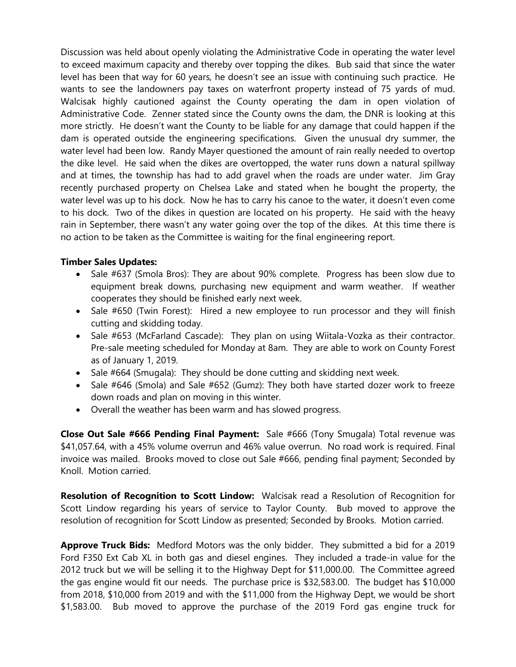Discussion was held about openly violating the Administrative Code in operating the water level to exceed maximum capacity and thereby over topping the dikes. Bub said that since the water level has been that way for 60 years, he doesn't see an issue with continuing such practice. He wants to see the landowners pay taxes on waterfront property instead of 75 yards of mud. Walcisak highly cautioned against the County operating the dam in open violation of Administrative Code. Zenner stated since the County owns the dam, the DNR is looking at this more strictly. He doesn't want the County to be liable for any damage that could happen if the dam is operated outside the engineering specifications. Given the unusual dry summer, the water level had been low. Randy Mayer questioned the amount of rain really needed to overtop the dike level. He said when the dikes are overtopped, the water runs down a natural spillway and at times, the township has had to add gravel when the roads are under water. Jim Gray recently purchased property on Chelsea Lake and stated when he bought the property, the water level was up to his dock. Now he has to carry his canoe to the water, it doesn't even come to his dock. Two of the dikes in question are located on his property. He said with the heavy rain in September, there wasn't any water going over the top of the dikes. At this time there is no action to be taken as the Committee is waiting for the final engineering report.

# **Timber Sales Updates:**

- Sale #637 (Smola Bros): They are about 90% complete. Progress has been slow due to equipment break downs, purchasing new equipment and warm weather. If weather cooperates they should be finished early next week.
- Sale #650 (Twin Forest): Hired a new employee to run processor and they will finish cutting and skidding today.
- Sale #653 (McFarland Cascade): They plan on using Wiitala-Vozka as their contractor. Pre-sale meeting scheduled for Monday at 8am. They are able to work on County Forest as of January 1, 2019.
- Sale #664 (Smugala): They should be done cutting and skidding next week.
- Sale #646 (Smola) and Sale #652 (Gumz): They both have started dozer work to freeze down roads and plan on moving in this winter.
- Overall the weather has been warm and has slowed progress.

**Close Out Sale #666 Pending Final Payment:** Sale #666 (Tony Smugala) Total revenue was \$41,057.64, with a 45% volume overrun and 46% value overrun. No road work is required. Final invoice was mailed. Brooks moved to close out Sale #666, pending final payment; Seconded by Knoll. Motion carried.

**Resolution of Recognition to Scott Lindow:** Walcisak read a Resolution of Recognition for Scott Lindow regarding his years of service to Taylor County. Bub moved to approve the resolution of recognition for Scott Lindow as presented; Seconded by Brooks. Motion carried.

**Approve Truck Bids:** Medford Motors was the only bidder. They submitted a bid for a 2019 Ford F350 Ext Cab XL in both gas and diesel engines. They included a trade-in value for the 2012 truck but we will be selling it to the Highway Dept for \$11,000.00. The Committee agreed the gas engine would fit our needs. The purchase price is \$32,583.00. The budget has \$10,000 from 2018, \$10,000 from 2019 and with the \$11,000 from the Highway Dept, we would be short \$1,583.00. Bub moved to approve the purchase of the 2019 Ford gas engine truck for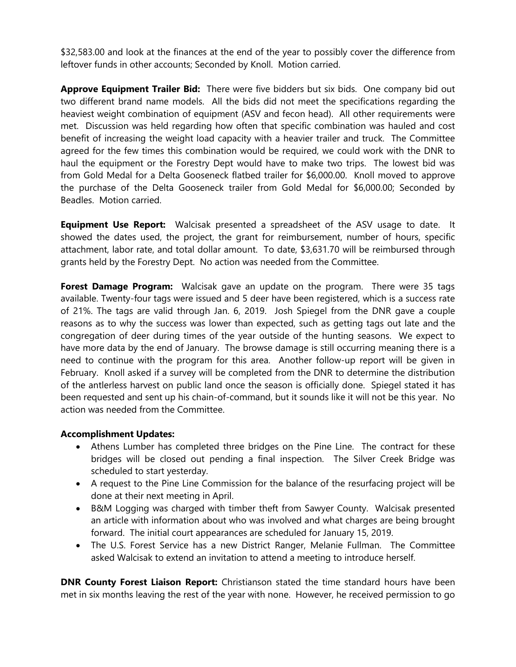\$32,583.00 and look at the finances at the end of the year to possibly cover the difference from leftover funds in other accounts; Seconded by Knoll. Motion carried.

**Approve Equipment Trailer Bid:** There were five bidders but six bids. One company bid out two different brand name models. All the bids did not meet the specifications regarding the heaviest weight combination of equipment (ASV and fecon head). All other requirements were met. Discussion was held regarding how often that specific combination was hauled and cost benefit of increasing the weight load capacity with a heavier trailer and truck. The Committee agreed for the few times this combination would be required, we could work with the DNR to haul the equipment or the Forestry Dept would have to make two trips. The lowest bid was from Gold Medal for a Delta Gooseneck flatbed trailer for \$6,000.00. Knoll moved to approve the purchase of the Delta Gooseneck trailer from Gold Medal for \$6,000.00; Seconded by Beadles. Motion carried.

**Equipment Use Report:** Walcisak presented a spreadsheet of the ASV usage to date. It showed the dates used, the project, the grant for reimbursement, number of hours, specific attachment, labor rate, and total dollar amount. To date, \$3,631.70 will be reimbursed through grants held by the Forestry Dept. No action was needed from the Committee.

**Forest Damage Program:** Walcisak gave an update on the program. There were 35 tags available. Twenty-four tags were issued and 5 deer have been registered, which is a success rate of 21%. The tags are valid through Jan. 6, 2019. Josh Spiegel from the DNR gave a couple reasons as to why the success was lower than expected, such as getting tags out late and the congregation of deer during times of the year outside of the hunting seasons. We expect to have more data by the end of January. The browse damage is still occurring meaning there is a need to continue with the program for this area. Another follow-up report will be given in February. Knoll asked if a survey will be completed from the DNR to determine the distribution of the antlerless harvest on public land once the season is officially done. Spiegel stated it has been requested and sent up his chain-of-command, but it sounds like it will not be this year. No action was needed from the Committee.

# **Accomplishment Updates:**

- Athens Lumber has completed three bridges on the Pine Line. The contract for these bridges will be closed out pending a final inspection. The Silver Creek Bridge was scheduled to start yesterday.
- A request to the Pine Line Commission for the balance of the resurfacing project will be done at their next meeting in April.
- B&M Logging was charged with timber theft from Sawyer County. Walcisak presented an article with information about who was involved and what charges are being brought forward. The initial court appearances are scheduled for January 15, 2019.
- The U.S. Forest Service has a new District Ranger, Melanie Fullman. The Committee asked Walcisak to extend an invitation to attend a meeting to introduce herself.

**DNR County Forest Liaison Report:** Christianson stated the time standard hours have been met in six months leaving the rest of the year with none. However, he received permission to go